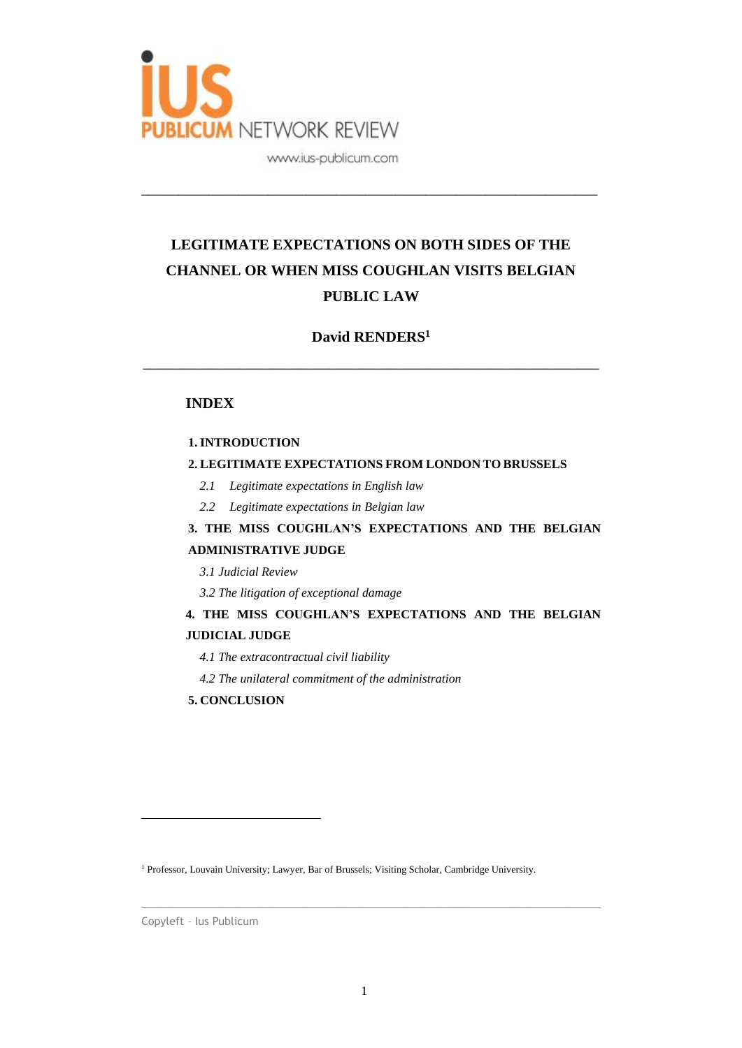

# **LEGITIMATE EXPECTATIONS ON BOTH SIDES OF THE CHANNEL OR WHEN MISS COUGHLAN VISITS BELGIAN PUBLIC LAW**

\_\_\_\_\_\_\_\_\_\_\_\_\_\_\_\_\_\_\_\_\_\_\_\_\_\_\_\_\_\_\_\_\_\_\_\_\_\_\_\_\_\_\_\_\_\_\_\_\_\_\_\_\_\_\_\_\_\_\_\_\_

## **David RENDERS<sup>1</sup>**

\_\_\_\_\_\_\_\_\_\_\_\_\_\_\_\_\_\_\_\_\_\_\_\_\_\_\_\_\_\_\_\_\_\_\_\_\_\_\_\_\_\_\_\_\_\_\_\_\_\_\_\_\_\_\_\_\_\_\_\_\_

## **INDEX**

### **1. INTRODUCTION**

## **2. LEGITIMATE EXPECTATIONS FROM LONDON TO BRUSSELS**

- *2.1 Legitimate expectations in English law*
- *2.2 Legitimate expectations in Belgian law*

## **3. THE MISS COUGHLAN'S EXPECTATIONS AND THE BELGIAN ADMINISTRATIVE JUDGE**

*3.1 Judicial Review*

*3.2 The litigation of exceptional damage*

## **4. THE MISS COUGHLAN'S EXPECTATIONS AND THE BELGIAN JUDICIAL JUDGE**

- *4.1 The extracontractual civil liability*
- *4.2 The unilateral commitment of the administration*
- **5. CONCLUSION**

Copyleft – Ius Publicum

<sup>&</sup>lt;sup>1</sup> Professor, Louvain University; Lawyer, Bar of Brussels; Visiting Scholar, Cambridge University.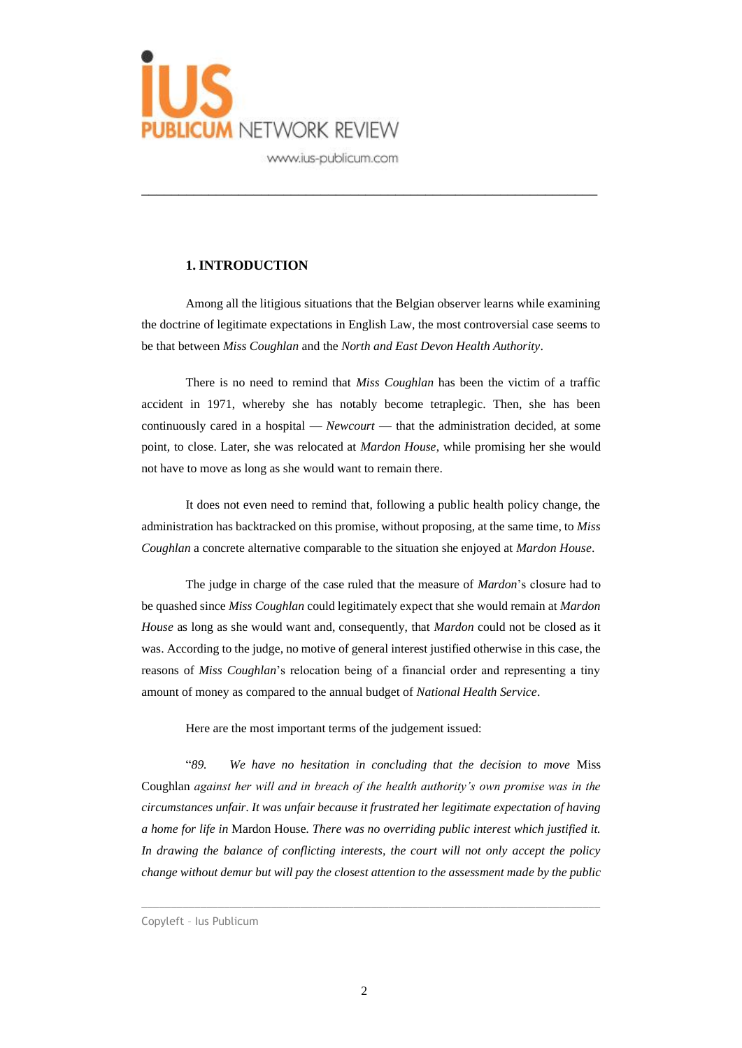

## **1. INTRODUCTION**

Among all the litigious situations that the Belgian observer learns while examining the doctrine of legitimate expectations in English Law, the most controversial case seems to be that between *Miss Coughlan* and the *North and East Devon Health Authority*.

\_\_\_\_\_\_\_\_\_\_\_\_\_\_\_\_\_\_\_\_\_\_\_\_\_\_\_\_\_\_\_\_\_\_\_\_\_\_\_\_\_\_\_\_\_\_\_\_\_\_\_\_\_\_\_\_\_\_\_\_\_

There is no need to remind that *Miss Coughlan* has been the victim of a traffic accident in 1971, whereby she has notably become tetraplegic. Then, she has been continuously cared in a hospital — *Newcourt* — that the administration decided, at some point, to close. Later, she was relocated at *Mardon House*, while promising her she would not have to move as long as she would want to remain there.

It does not even need to remind that, following a public health policy change, the administration has backtracked on this promise, without proposing, at the same time, to *Miss Coughlan* a concrete alternative comparable to the situation she enjoyed at *Mardon House*.

The judge in charge of the case ruled that the measure of *Mardon*'s closure had to be quashed since *Miss Coughlan* could legitimately expect that she would remain at *Mardon House* as long as she would want and, consequently, that *Mardon* could not be closed as it was. According to the judge, no motive of general interest justified otherwise in this case, the reasons of *Miss Coughlan*'s relocation being of a financial order and representing a tiny amount of money as compared to the annual budget of *National Health Service*.

Here are the most important terms of the judgement issued:

"*89. We have no hesitation in concluding that the decision to move* Miss Coughlan *against her will and in breach of the health authority's own promise was in the circumstances unfair. It was unfair because it frustrated her legitimate expectation of having a home for life in* Mardon House*. There was no overriding public interest which justified it. In drawing the balance of conflicting interests, the court will not only accept the policy change without demur but will pay the closest attention to the assessment made by the public* 

Copyleft – Ius Publicum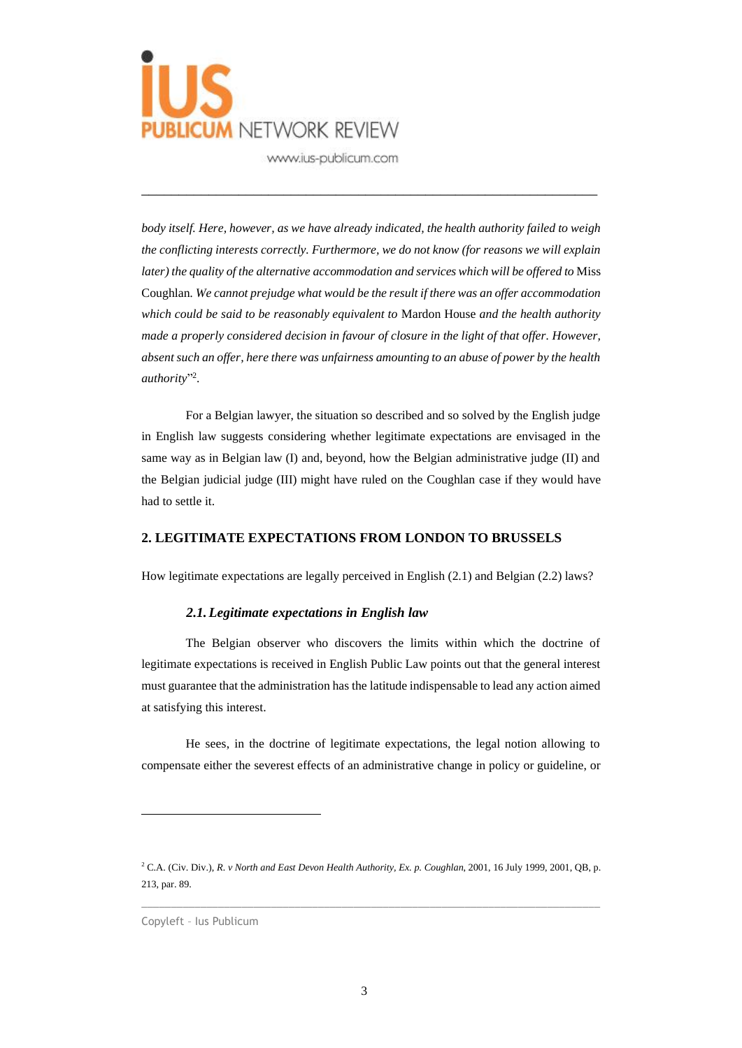

*body itself. Here, however, as we have already indicated, the health authority failed to weigh the conflicting interests correctly. Furthermore, we do not know (for reasons we will explain later) the quality of the alternative accommodation and services which will be offered to* Miss Coughlan*. We cannot prejudge what would be the result if there was an offer accommodation which could be said to be reasonably equivalent to* Mardon House *and the health authority made a properly considered decision in favour of closure in the light of that offer. However, absent such an offer, here there was unfairness amounting to an abuse of power by the health*  authority"<sup>2</sup>.

\_\_\_\_\_\_\_\_\_\_\_\_\_\_\_\_\_\_\_\_\_\_\_\_\_\_\_\_\_\_\_\_\_\_\_\_\_\_\_\_\_\_\_\_\_\_\_\_\_\_\_\_\_\_\_\_\_\_\_\_\_

For a Belgian lawyer, the situation so described and so solved by the English judge in English law suggests considering whether legitimate expectations are envisaged in the same way as in Belgian law (I) and, beyond, how the Belgian administrative judge (II) and the Belgian judicial judge (III) might have ruled on the Coughlan case if they would have had to settle it.

### **2. LEGITIMATE EXPECTATIONS FROM LONDON TO BRUSSELS**

How legitimate expectations are legally perceived in English (2.1) and Belgian (2.2) laws?

### *2.1.Legitimate expectations in English law*

The Belgian observer who discovers the limits within which the doctrine of legitimate expectations is received in English Public Law points out that the general interest must guarantee that the administration has the latitude indispensable to lead any action aimed at satisfying this interest.

He sees, in the doctrine of legitimate expectations, the legal notion allowing to compensate either the severest effects of an administrative change in policy or guideline, or

<sup>2</sup> C.A. (Civ. Div.), *R. v North and East Devon Health Authority, Ex. p. Coughlan*, 2001, 16 July 1999, 2001, QB, p. 213, par. 89.

Copyleft – Ius Publicum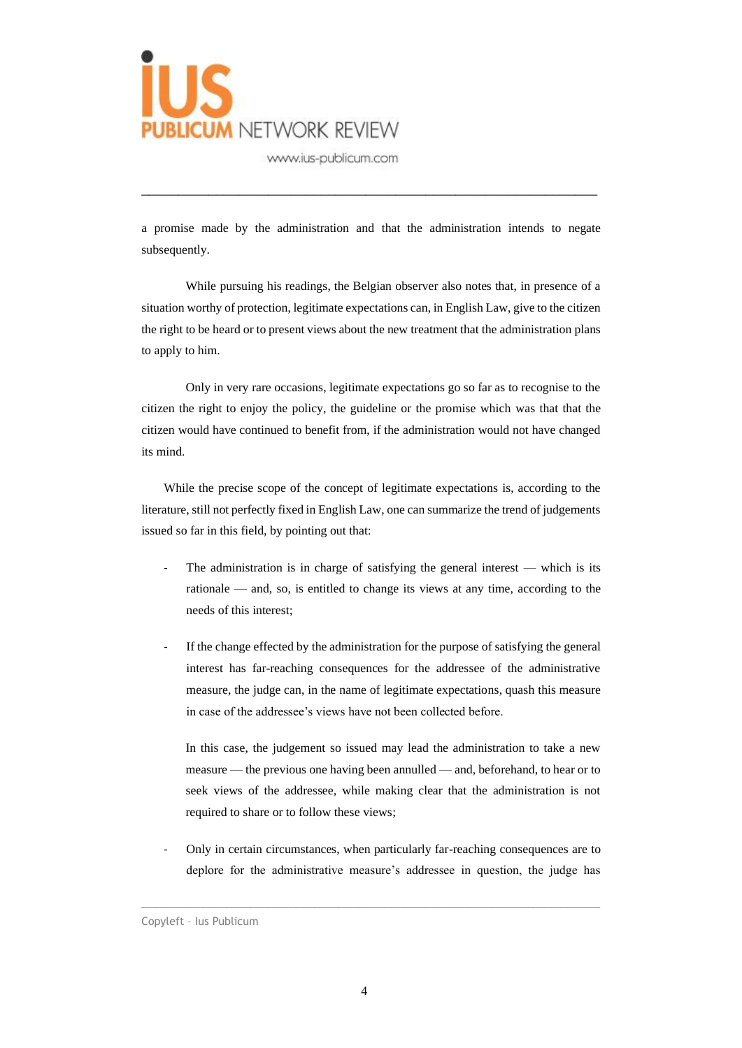

a promise made by the administration and that the administration intends to negate subsequently.

\_\_\_\_\_\_\_\_\_\_\_\_\_\_\_\_\_\_\_\_\_\_\_\_\_\_\_\_\_\_\_\_\_\_\_\_\_\_\_\_\_\_\_\_\_\_\_\_\_\_\_\_\_\_\_\_\_\_\_\_\_

While pursuing his readings, the Belgian observer also notes that, in presence of a situation worthy of protection, legitimate expectations can, in English Law, give to the citizen the right to be heard or to present views about the new treatment that the administration plans to apply to him.

Only in very rare occasions, legitimate expectations go so far as to recognise to the citizen the right to enjoy the policy, the guideline or the promise which was that that the citizen would have continued to benefit from, if the administration would not have changed its mind.

While the precise scope of the concept of legitimate expectations is, according to the literature, still not perfectly fixed in English Law, one can summarize the trend of judgements issued so far in this field, by pointing out that:

- The administration is in charge of satisfying the general interest which is its rationale — and, so, is entitled to change its views at any time, according to the needs of this interest;
- If the change effected by the administration for the purpose of satisfying the general interest has far-reaching consequences for the addressee of the administrative measure, the judge can, in the name of legitimate expectations, quash this measure in case of the addressee's views have not been collected before.

In this case, the judgement so issued may lead the administration to take a new measure — the previous one having been annulled — and, beforehand, to hear or to seek views of the addressee, while making clear that the administration is not required to share or to follow these views;

- Only in certain circumstances, when particularly far-reaching consequences are to deplore for the administrative measure's addressee in question, the judge has

Copyleft – Ius Publicum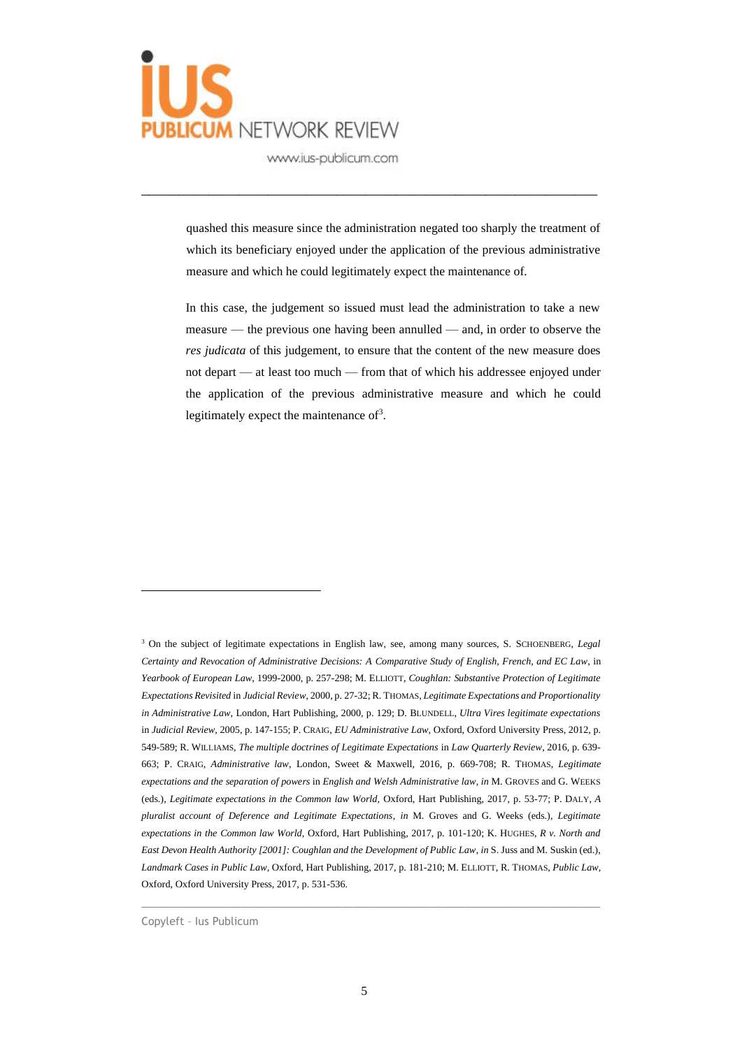

quashed this measure since the administration negated too sharply the treatment of which its beneficiary enjoyed under the application of the previous administrative measure and which he could legitimately expect the maintenance of.

\_\_\_\_\_\_\_\_\_\_\_\_\_\_\_\_\_\_\_\_\_\_\_\_\_\_\_\_\_\_\_\_\_\_\_\_\_\_\_\_\_\_\_\_\_\_\_\_\_\_\_\_\_\_\_\_\_\_\_\_\_

In this case, the judgement so issued must lead the administration to take a new measure — the previous one having been annulled — and, in order to observe the *res judicata* of this judgement, to ensure that the content of the new measure does not depart — at least too much — from that of which his addressee enjoyed under the application of the previous administrative measure and which he could legitimately expect the maintenance of<sup>3</sup>.

Copyleft – Ius Publicum

<sup>3</sup> On the subject of legitimate expectations in English law, see, among many sources, S. SCHOENBERG, *Legal Certainty and Revocation of Administrative Decisions: A Comparative Study of English, French, and EC Law*, in *Yearbook of European Law*, 1999-2000, p. 257-298; M. ELLIOTT, *Coughlan: Substantive Protection of Legitimate Expectations Revisited* in *Judicial Review*, 2000, p. 27-32; R. THOMAS, *Legitimate Expectations and Proportionality in Administrative Law*, London, Hart Publishing, 2000, p. 129; D. BLUNDELL, *Ultra Vires legitimate expectations* in *Judicial Review*, 2005, p. 147-155; P. CRAIG, *EU Administrative Law*, Oxford, Oxford University Press, 2012, p. 549-589; R. WILLIAMS, *The multiple doctrines of Legitimate Expectations* in *Law Quarterly Review*, 2016, p. 639- 663; P. CRAIG, *Administrative law*, London, Sweet & Maxwell, 2016, p. 669-708; R. THOMAS, *Legitimate expectations and the separation of powers* in *English and Welsh Administrative law*, *in* M. GROVES and G. WEEKS (eds.), *Legitimate expectations in the Common law World,* Oxford, Hart Publishing, 2017, p. 53-77; P. DALY, *A pluralist account of Deference and Legitimate Expectations*, *in* M. Groves and G. Weeks (eds.), *Legitimate expectations in the Common law World,* Oxford, Hart Publishing, 2017, p. 101-120; K. HUGHES, *R v. North and East Devon Health Authority [2001]: Coughlan and the Development of Public Law*, *in* S. Juss and M. Suskin (ed.), *Landmark Cases in Public Law*, Oxford, Hart Publishing, 2017, p. 181-210; M. ELLIOTT, R. THOMAS, *Public Law*, Oxford, Oxford University Press, 2017, p. 531-536.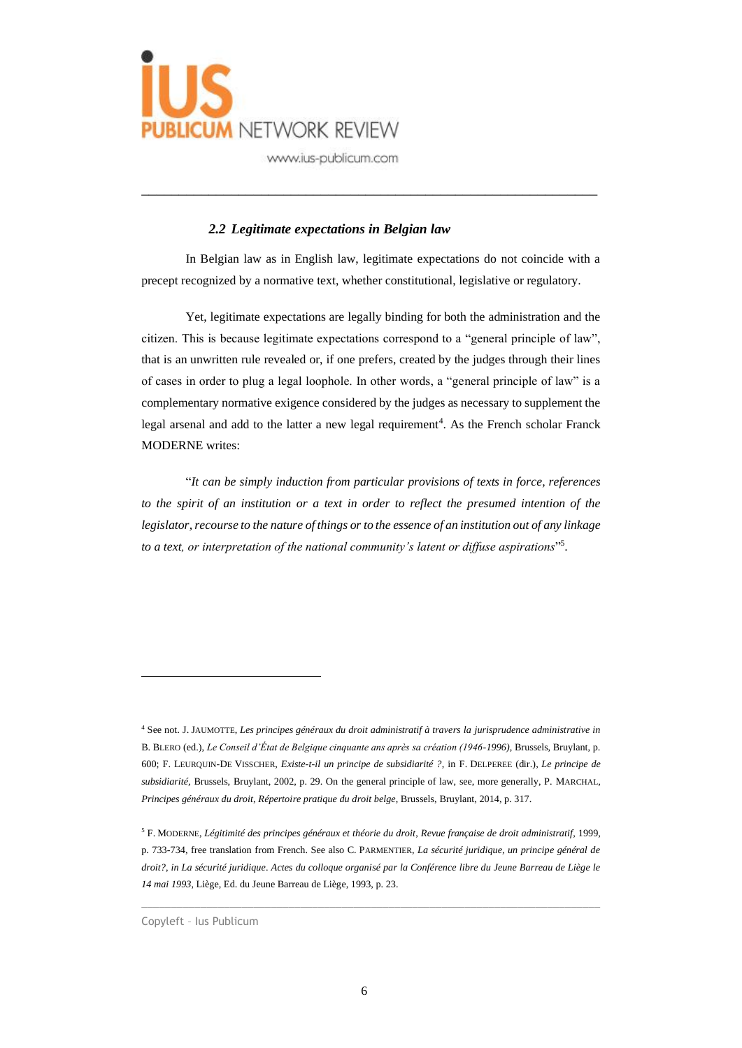

## *2.2 Legitimate expectations in Belgian law*

In Belgian law as in English law, legitimate expectations do not coincide with a precept recognized by a normative text, whether constitutional, legislative or regulatory.

\_\_\_\_\_\_\_\_\_\_\_\_\_\_\_\_\_\_\_\_\_\_\_\_\_\_\_\_\_\_\_\_\_\_\_\_\_\_\_\_\_\_\_\_\_\_\_\_\_\_\_\_\_\_\_\_\_\_\_\_\_

Yet, legitimate expectations are legally binding for both the administration and the citizen. This is because legitimate expectations correspond to a "general principle of law", that is an unwritten rule revealed or, if one prefers, created by the judges through their lines of cases in order to plug a legal loophole. In other words, a "general principle of law" is a complementary normative exigence considered by the judges as necessary to supplement the legal arsenal and add to the latter a new legal requirement<sup>4</sup>. As the French scholar Franck MODERNE writes:

"*It can be simply induction from particular provisions of texts in force, references to the spirit of an institution or a text in order to reflect the presumed intention of the legislator, recourse to the nature of things or to the essence of an institution out of any linkage to a text, or interpretation of the national community's latent or diffuse aspirations*" 5 .

 $\_$  , and the set of the set of the set of the set of the set of the set of the set of the set of the set of the set of the set of the set of the set of the set of the set of the set of the set of the set of the set of th

<sup>4</sup> See not. J. JAUMOTTE, *Les principes généraux du droit administratif à travers la jurisprudence administrative in* B. BLERO (ed.), *Le Conseil d'État de Belgique cinquante ans après sa création (1946-1996)*, Brussels, Bruylant, p. 600; F. LEURQUIN-DE VISSCHER, *Existe-t-il un principe de subsidiarité ?*, in F. DELPEREE (dir.), *Le principe de subsidiarité,* Brussels, Bruylant, 2002, p. 29. On the general principle of law, see, more generally, P. MARCHAL, *Principes généraux du droit*, *Répertoire pratique du droit belge*, Brussels, Bruylant, 2014, p. 317.

<sup>5</sup> F. MODERNE, *Légitimité des principes généraux et théorie du droit*, *Revue française de droit administratif*, 1999, p. 733-734, free translation from French. See also C. PARMENTIER, *La sécurité juridique, un principe général de droit?*, *in La sécurité juridique*. *Actes du colloque organisé par la Conférence libre du Jeune Barreau de Liège le 14 mai 1993*, Liège, Ed. du Jeune Barreau de Liège, 1993, p. 23.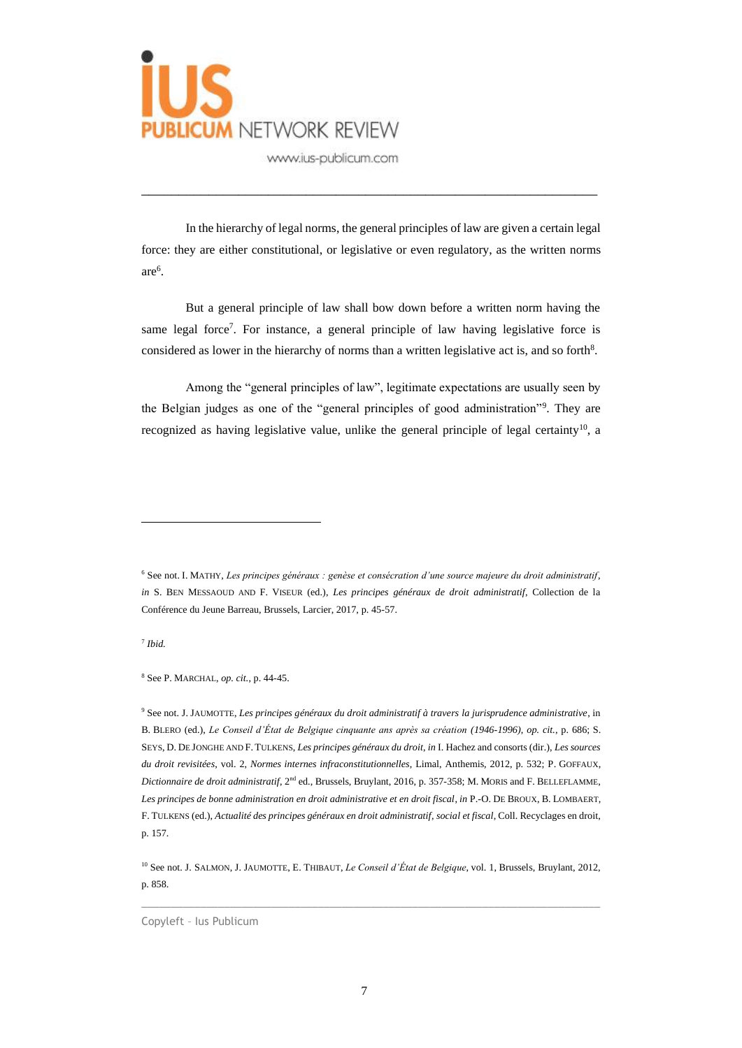

In the hierarchy of legal norms, the general principles of law are given a certain legal force: they are either constitutional, or legislative or even regulatory, as the written norms are<sup>6</sup> .

\_\_\_\_\_\_\_\_\_\_\_\_\_\_\_\_\_\_\_\_\_\_\_\_\_\_\_\_\_\_\_\_\_\_\_\_\_\_\_\_\_\_\_\_\_\_\_\_\_\_\_\_\_\_\_\_\_\_\_\_\_

But a general principle of law shall bow down before a written norm having the same legal force<sup>7</sup>. For instance, a general principle of law having legislative force is considered as lower in the hierarchy of norms than a written legislative act is, and so forth<sup>8</sup>.

Among the "general principles of law", legitimate expectations are usually seen by the Belgian judges as one of the "general principles of good administration"<sup>9</sup> . They are recognized as having legislative value, unlike the general principle of legal certainty<sup>10</sup>, a

7 *Ibid.*

<sup>8</sup> See P. MARCHAL, *op. cit.*, p. 44-45.

<sup>9</sup> See not. J. JAUMOTTE, *Les principes généraux du droit administratif à travers la jurisprudence administrative*, in B. BLERO (ed.), *Le Conseil d'État de Belgique cinquante ans après sa création (1946-1996)*, *op. cit.*, p. 686; S. SEYS, D. DE JONGHE AND F. TULKENS, *Les principes généraux du droit*, *in* I. Hachez and consorts (dir.), *Les sources du droit revisitées*, vol. 2, *Normes internes infraconstitutionnelles*, Limal, Anthemis, 2012, p. 532; P. GOFFAUX, *Dictionnaire de droit administratif*, 2nd ed., Brussels, Bruylant, 2016, p. 357-358; M. MORIS and F. BELLEFLAMME, *Les principes de bonne administration en droit administrative et en droit fiscal*, *in* P.-O. DE BROUX, B. LOMBAERT, F. TULKENS (ed.), *Actualité des principes généraux en droit administratif, social et fiscal*, Coll. Recyclages en droit, p. 157.

 $\_$  , and the set of the set of the set of the set of the set of the set of the set of the set of the set of the set of the set of the set of the set of the set of the set of the set of the set of the set of the set of th

<sup>6</sup> See not. I. MATHY, *Les principes généraux : genèse et consécration d'une source majeure du droit administratif*, *in* S. BEN MESSAOUD AND F. VISEUR (ed.), *Les principes généraux de droit administratif*, Collection de la Conférence du Jeune Barreau, Brussels, Larcier, 2017, p. 45-57.

<sup>10</sup> See not. J. SALMON, J. JAUMOTTE, E. THIBAUT, *Le Conseil d'État de Belgique*, vol. 1, Brussels, Bruylant, 2012, p. 858.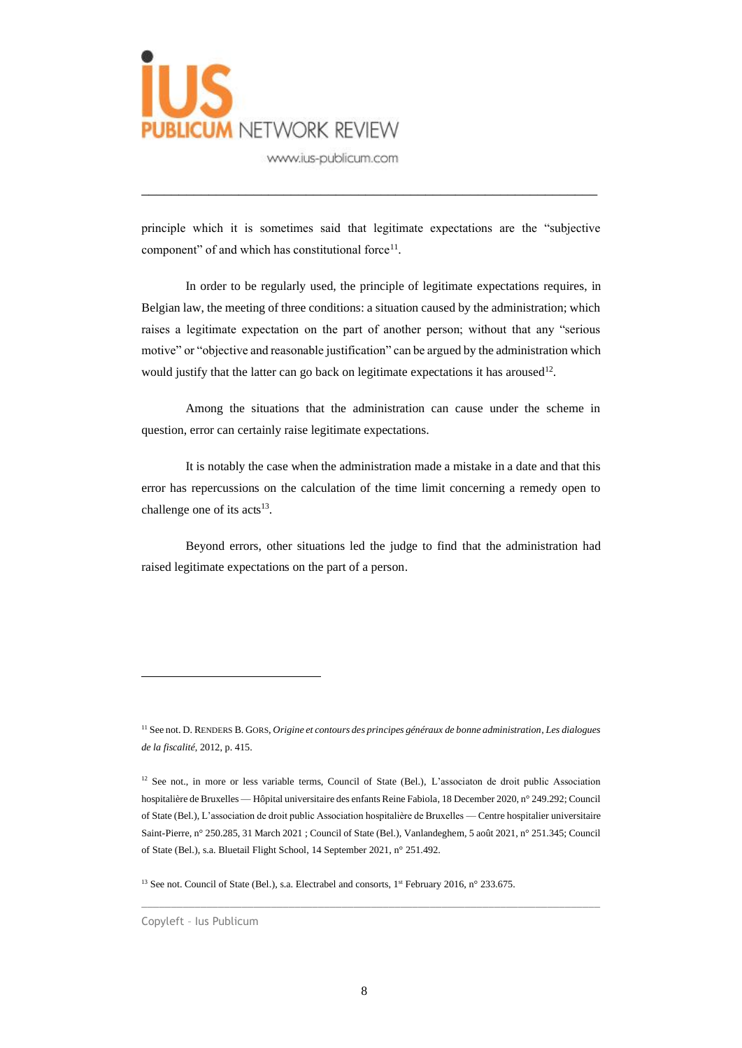

principle which it is sometimes said that legitimate expectations are the "subjective component" of and which has constitutional force<sup>11</sup>.

\_\_\_\_\_\_\_\_\_\_\_\_\_\_\_\_\_\_\_\_\_\_\_\_\_\_\_\_\_\_\_\_\_\_\_\_\_\_\_\_\_\_\_\_\_\_\_\_\_\_\_\_\_\_\_\_\_\_\_\_\_

In order to be regularly used, the principle of legitimate expectations requires, in Belgian law, the meeting of three conditions: a situation caused by the administration; which raises a legitimate expectation on the part of another person; without that any "serious motive" or "objective and reasonable justification" can be argued by the administration which would justify that the latter can go back on legitimate expectations it has aroused<sup>12</sup>.

Among the situations that the administration can cause under the scheme in question, error can certainly raise legitimate expectations.

It is notably the case when the administration made a mistake in a date and that this error has repercussions on the calculation of the time limit concerning a remedy open to challenge one of its acts<sup>13</sup>.

Beyond errors, other situations led the judge to find that the administration had raised legitimate expectations on the part of a person.

 $\_$  , and the set of the set of the set of the set of the set of the set of the set of the set of the set of the set of the set of the set of the set of the set of the set of the set of the set of the set of the set of th

<sup>13</sup> See not. Council of State (Bel.), s.a. Electrabel and consorts, 1<sup>st</sup> February 2016, n° 233.675.

<sup>11</sup> See not. D. RENDERS B. GORS, *Origine et contours des principes généraux de bonne administration*, *Les dialogues de la fiscalité*, 2012, p. 415.

<sup>&</sup>lt;sup>12</sup> See not., in more or less variable terms, Council of State (Bel.), L'associaton de droit public Association hospitalière de Bruxelles — Hôpital universitaire des enfants Reine Fabiola, 18 December 2020, n° 249.292; Council of State (Bel.), L'association de droit public Association hospitalière de Bruxelles — Centre hospitalier universitaire Saint-Pierre, n° 250.285, 31 March 2021 ; Council of State (Bel.), Vanlandeghem, 5 août 2021, n° 251.345; Council of State (Bel.), s.a. Bluetail Flight School, 14 September 2021, n° 251.492.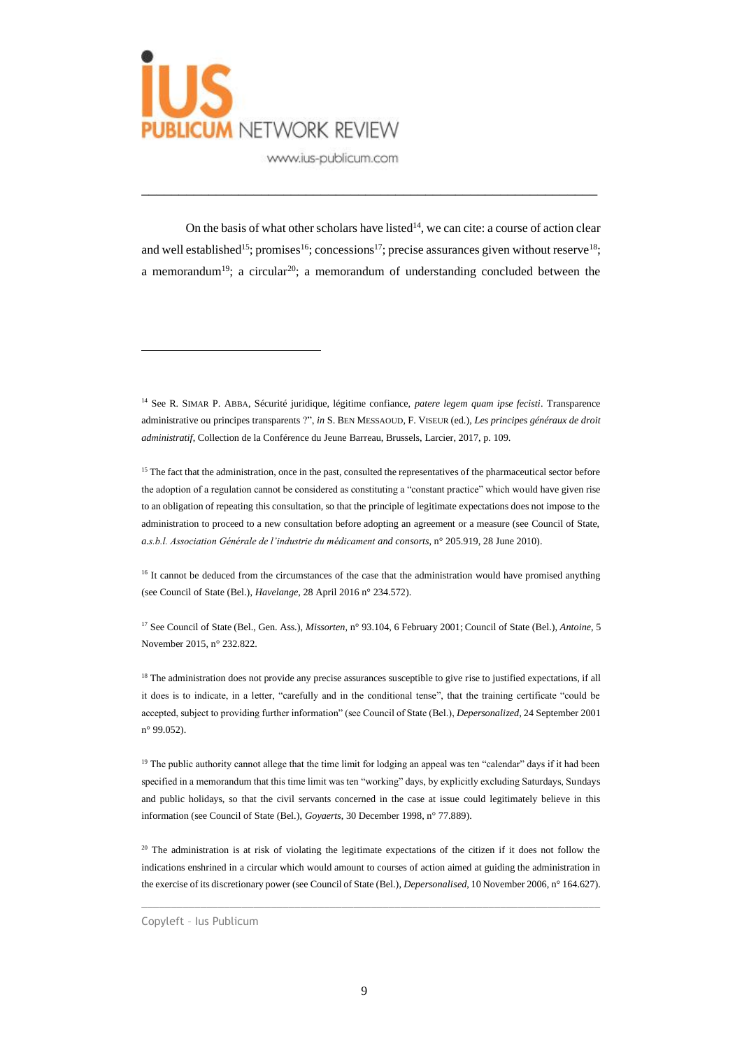

On the basis of what other scholars have listed<sup>14</sup>, we can cite: a course of action clear and well established<sup>15</sup>; promises<sup>16</sup>; concessions<sup>17</sup>; precise assurances given without reserve<sup>18</sup>; a memorandum<sup>19</sup>; a circular<sup>20</sup>; a memorandum of understanding concluded between the

\_\_\_\_\_\_\_\_\_\_\_\_\_\_\_\_\_\_\_\_\_\_\_\_\_\_\_\_\_\_\_\_\_\_\_\_\_\_\_\_\_\_\_\_\_\_\_\_\_\_\_\_\_\_\_\_\_\_\_\_\_

<sup>14</sup> See R. SIMAR P. ABBA, Sécurité juridique, légitime confiance, *patere legem quam ipse fecisti*. Transparence administrative ou principes transparents ?", *in* S. BEN MESSAOUD, F. VISEUR (ed.), *Les principes généraux de droit administratif*, Collection de la Conférence du Jeune Barreau, Brussels, Larcier, 2017, p. 109.

<sup>15</sup> The fact that the administration, once in the past, consulted the representatives of the pharmaceutical sector before the adoption of a regulation cannot be considered as constituting a "constant practice" which would have given rise to an obligation of repeating this consultation, so that the principle of legitimate expectations does not impose to the administration to proceed to a new consultation before adopting an agreement or a measure (see Council of State, *a.s.b.l. Association Générale de l'industrie du médicament and consorts*, n° 205.919, 28 June 2010).

<sup>16</sup> It cannot be deduced from the circumstances of the case that the administration would have promised anything (see Council of State (Bel.), *Havelange*, 28 April 2016 n° 234.572).

<sup>17</sup> See Council of State (Bel., Gen. Ass.), *Missorten*, n° 93.104, 6 February 2001; Council of State (Bel.), *Antoine*, 5 November 2015, n° 232.822.

 $<sup>18</sup>$  The administration does not provide any precise assurances susceptible to give rise to justified expectations, if all</sup> it does is to indicate, in a letter, "carefully and in the conditional tense", that the training certificate "could be accepted, subject to providing further information" (see Council of State (Bel.), *Depersonalized*, 24 September 2001 n° 99.052).

<sup>19</sup> The public authority cannot allege that the time limit for lodging an appeal was ten "calendar" days if it had been specified in a memorandum that this time limit was ten "working" days, by explicitly excluding Saturdays, Sundays and public holidays, so that the civil servants concerned in the case at issue could legitimately believe in this information (see Council of State (Bel.), *Goyaerts*, 30 December 1998, n° 77.889).

<sup>20</sup> The administration is at risk of violating the legitimate expectations of the citizen if it does not follow the indications enshrined in a circular which would amount to courses of action aimed at guiding the administration in the exercise of its discretionary power (see Council of State (Bel.), *Depersonalised*, 10 November 2006, n° 164.627).

 $\_$  , and the set of the set of the set of the set of the set of the set of the set of the set of the set of the set of the set of the set of the set of the set of the set of the set of the set of the set of the set of th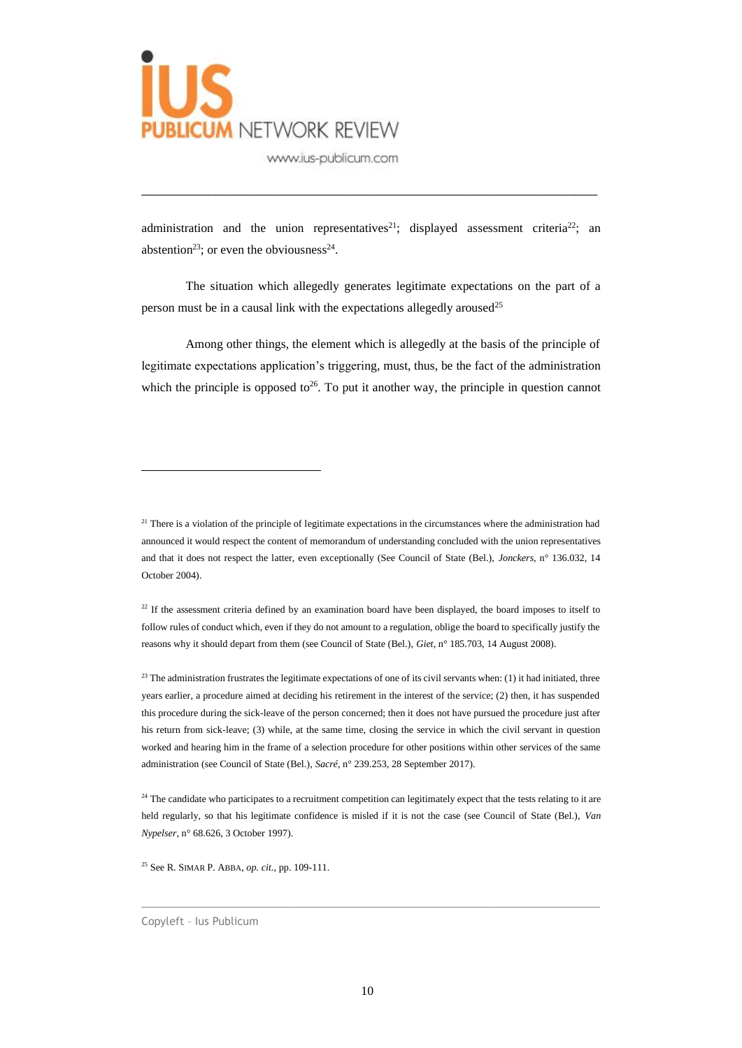

administration and the union representatives<sup>21</sup>; displayed assessment criteria<sup>22</sup>; an abstention<sup>23</sup>; or even the obviousness<sup>24</sup>.

\_\_\_\_\_\_\_\_\_\_\_\_\_\_\_\_\_\_\_\_\_\_\_\_\_\_\_\_\_\_\_\_\_\_\_\_\_\_\_\_\_\_\_\_\_\_\_\_\_\_\_\_\_\_\_\_\_\_\_\_\_

The situation which allegedly generates legitimate expectations on the part of a person must be in a causal link with the expectations allegedly aroused<sup>25</sup>

Among other things, the element which is allegedly at the basis of the principle of legitimate expectations application's triggering, must, thus, be the fact of the administration which the principle is opposed to<sup>26</sup>. To put it another way, the principle in question cannot

<sup>21</sup> There is a violation of the principle of legitimate expectations in the circumstances where the administration had announced it would respect the content of memorandum of understanding concluded with the union representatives and that it does not respect the latter, even exceptionally (See Council of State (Bel.), *Jonckers*, n° 136.032, 14 October 2004).

<sup>22</sup> If the assessment criteria defined by an examination board have been displayed, the board imposes to itself to follow rules of conduct which, even if they do not amount to a regulation, oblige the board to specifically justify the reasons why it should depart from them (see Council of State (Bel.), *Giet*, n° 185.703, 14 August 2008).

<sup>23</sup> The administration frustrates the legitimate expectations of one of its civil servants when: (1) it had initiated, three years earlier, a procedure aimed at deciding his retirement in the interest of the service; (2) then, it has suspended this procedure during the sick-leave of the person concerned; then it does not have pursued the procedure just after his return from sick-leave; (3) while, at the same time, closing the service in which the civil servant in question worked and hearing him in the frame of a selection procedure for other positions within other services of the same administration (see Council of State (Bel.), *Sacré*, n° 239.253, 28 September 2017).

<sup>24</sup> The candidate who participates to a recruitment competition can legitimately expect that the tests relating to it are held regularly, so that his legitimate confidence is misled if it is not the case (see Council of State (Bel.), *Van Nypelser*, n° 68.626, 3 October 1997).

 $\_$  , and the set of the set of the set of the set of the set of the set of the set of the set of the set of the set of the set of the set of the set of the set of the set of the set of the set of the set of the set of th

<sup>25</sup> See R. SIMAR P. ABBA, *op. cit.*, pp. 109-111.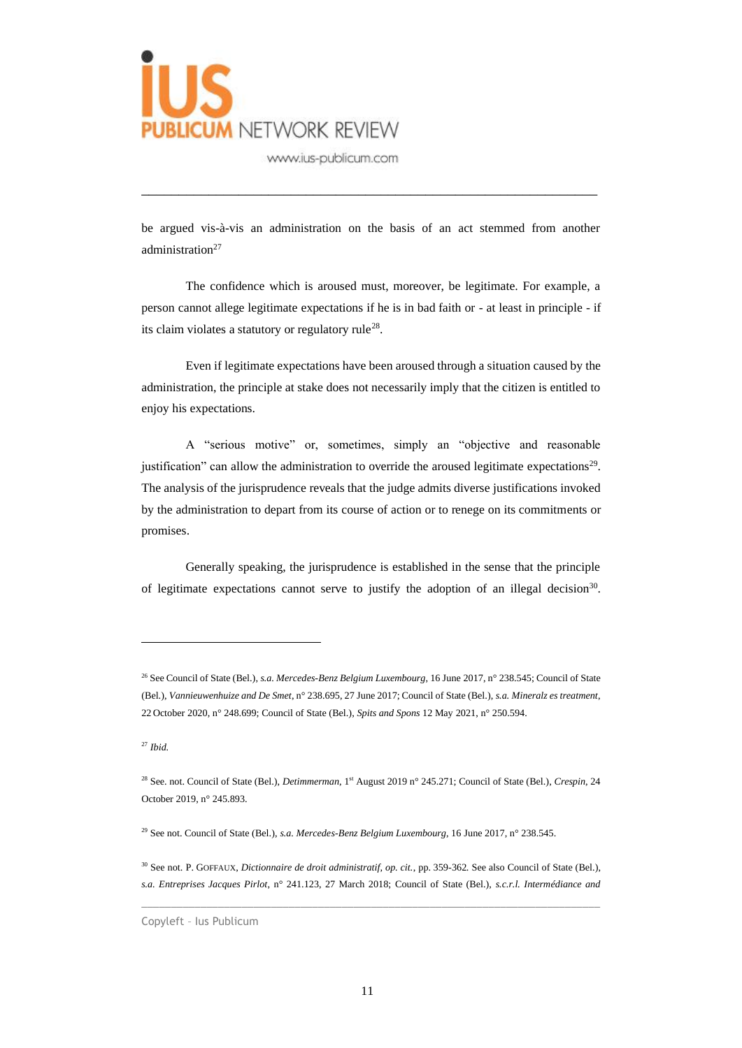

be argued vis-à-vis an administration on the basis of an act stemmed from another administration<sup>27</sup>

\_\_\_\_\_\_\_\_\_\_\_\_\_\_\_\_\_\_\_\_\_\_\_\_\_\_\_\_\_\_\_\_\_\_\_\_\_\_\_\_\_\_\_\_\_\_\_\_\_\_\_\_\_\_\_\_\_\_\_\_\_

The confidence which is aroused must, moreover, be legitimate. For example, a person cannot allege legitimate expectations if he is in bad faith or - at least in principle - if its claim violates a statutory or regulatory rule<sup>28</sup>.

Even if legitimate expectations have been aroused through a situation caused by the administration, the principle at stake does not necessarily imply that the citizen is entitled to enjoy his expectations.

A "serious motive" or, sometimes, simply an "objective and reasonable justification" can allow the administration to override the aroused legitimate expectations<sup>29</sup>. The analysis of the jurisprudence reveals that the judge admits diverse justifications invoked by the administration to depart from its course of action or to renege on its commitments or promises.

Generally speaking, the jurisprudence is established in the sense that the principle of legitimate expectations cannot serve to justify the adoption of an illegal decision<sup>30</sup>.

 $\_$  , and the set of the set of the set of the set of the set of the set of the set of the set of the set of the set of the set of the set of the set of the set of the set of the set of the set of the set of the set of th

<sup>26</sup> See Council of State (Bel.), *s.a. Mercedes-Benz Belgium Luxembourg*, 16 June 2017, n° 238.545; Council of State (Bel.), *Vannieuwenhuize and De Smet*, n° 238.695, 27 June 2017; Council of State (Bel.), *s.a. Mineralz es treatment*, 22 October 2020, n° 248.699; Council of State (Bel.), *Spits and Spons* 12 May 2021, n° 250.594.

<sup>27</sup> *Ibid.*

<sup>&</sup>lt;sup>28</sup> See. not. Council of State (Bel.), *Detimmerman*, 1<sup>st</sup> August 2019 n° 245.271; Council of State (Bel.), *Crespin*, 24 October 2019, n° 245.893.

<sup>29</sup> See not. Council of State (Bel.), *s.a. Mercedes-Benz Belgium Luxembourg*, 16 June 2017, n° 238.545.

<sup>30</sup> See not. P. GOFFAUX, *Dictionnaire de droit administratif, op. cit.*, pp. 359-362. See also Council of State (Bel.), *s.a. Entreprises Jacques Pirlot*, n° 241.123, 27 March 2018; Council of State (Bel.), *s.c.r.l. Intermédiance and*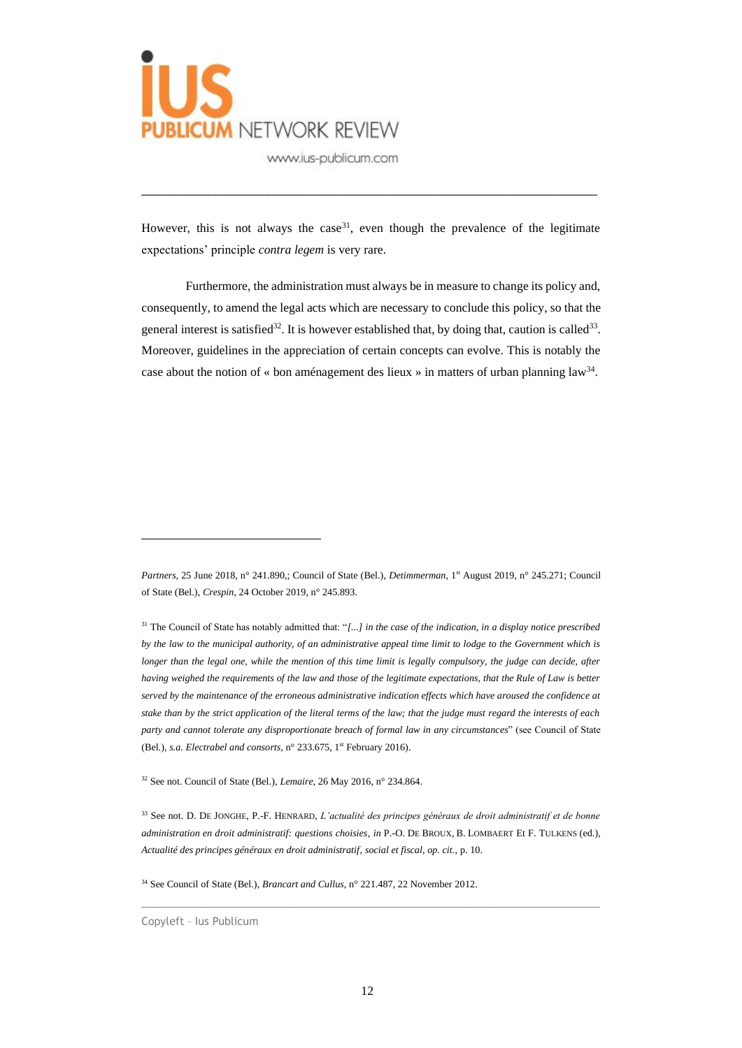

However, this is not always the case<sup>31</sup>, even though the prevalence of the legitimate expectations' principle *contra legem* is very rare.

\_\_\_\_\_\_\_\_\_\_\_\_\_\_\_\_\_\_\_\_\_\_\_\_\_\_\_\_\_\_\_\_\_\_\_\_\_\_\_\_\_\_\_\_\_\_\_\_\_\_\_\_\_\_\_\_\_\_\_\_\_

Furthermore, the administration must always be in measure to change its policy and, consequently, to amend the legal acts which are necessary to conclude this policy, so that the general interest is satisfied<sup>32</sup>. It is however established that, by doing that, caution is called<sup>33</sup>. Moreover, guidelines in the appreciation of certain concepts can evolve. This is notably the case about the notion of « bon aménagement des lieux » in matters of urban planning law<sup>34</sup>.

Partners, 25 June 2018, n° 241.890,; Council of State (Bel.), *Detimmerman*, 1<sup>st</sup> August 2019, n° 245.271; Council of State (Bel.), *Crespin*, 24 October 2019, n° 245.893.

<sup>31</sup> The Council of State has notably admitted that: "*[...] in the case of the indication, in a display notice prescribed by the law to the municipal authority, of an administrative appeal time limit to lodge to the Government which is longer than the legal one, while the mention of this time limit is legally compulsory, the judge can decide, after having weighed the requirements of the law and those of the legitimate expectations, that the Rule of Law is better served by the maintenance of the erroneous administrative indication effects which have aroused the confidence at stake than by the strict application of the literal terms of the law; that the judge must regard the interests of each party and cannot tolerate any disproportionate breach of formal law in any circumstances*" (see Council of State (Bel.), *s.a. Electrabel and consorts*, n° 233.675, 1<sup>st</sup> February 2016).

<sup>32</sup> See not. Council of State (Bel.), *Lemaire*, 26 May 2016, n° 234.864.

<sup>33</sup> See not. D. DE JONGHE, P.-F. HENRARD, *L'actualité des principes généraux de droit administratif et de bonne administration en droit administratif: questions choisies*, *in* P.-O. DE BROUX, B. LOMBAERT Et F. TULKENS (ed.), *Actualité des principes généraux en droit administratif, social et fiscal, op. cit.*, p. 10.

 $\_$  , and the set of the set of the set of the set of the set of the set of the set of the set of the set of the set of the set of the set of the set of the set of the set of the set of the set of the set of the set of th

<sup>34</sup> See Council of State (Bel.), *Brancart and Cullus*, n° 221.487, 22 November 2012.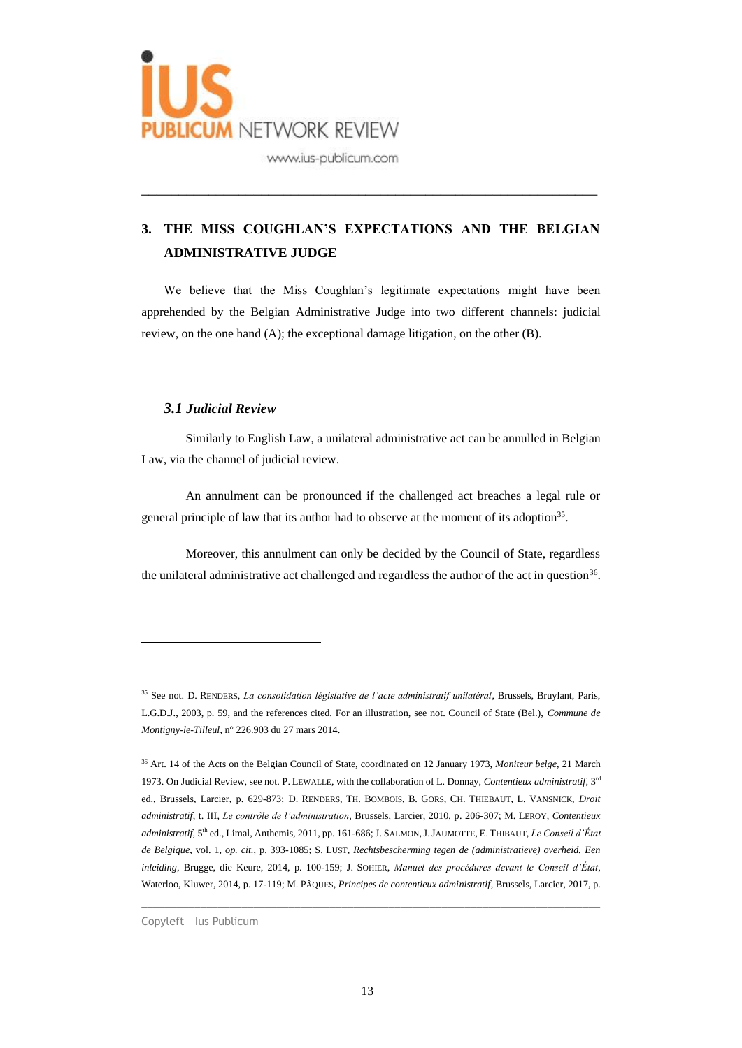

## **3. THE MISS COUGHLAN'S EXPECTATIONS AND THE BELGIAN ADMINISTRATIVE JUDGE**

\_\_\_\_\_\_\_\_\_\_\_\_\_\_\_\_\_\_\_\_\_\_\_\_\_\_\_\_\_\_\_\_\_\_\_\_\_\_\_\_\_\_\_\_\_\_\_\_\_\_\_\_\_\_\_\_\_\_\_\_\_

We believe that the Miss Coughlan's legitimate expectations might have been apprehended by the Belgian Administrative Judge into two different channels: judicial review, on the one hand (A); the exceptional damage litigation, on the other (B).

## *3.1 Judicial Review*

Similarly to English Law, a unilateral administrative act can be annulled in Belgian Law, via the channel of judicial review.

An annulment can be pronounced if the challenged act breaches a legal rule or general principle of law that its author had to observe at the moment of its adoption<sup>35</sup>.

Moreover, this annulment can only be decided by the Council of State, regardless the unilateral administrative act challenged and regardless the author of the act in question<sup>36</sup>.

 $\_$  , and the set of the set of the set of the set of the set of the set of the set of the set of the set of the set of the set of the set of the set of the set of the set of the set of the set of the set of the set of th

<sup>35</sup> See not. D. RENDERS, *La consolidation législative de l'acte administratif unilatéral*, Brussels, Bruylant, Paris, L.G.D.J., 2003, p. 59, and the references cited. For an illustration, see not. Council of State (Bel.), *Commune de Montigny-le-Tilleul*, n° 226.903 du 27 mars 2014.

<sup>36</sup> Art. 14 of the Acts on the Belgian Council of State, coordinated on 12 January 1973, *Moniteur belge*, 21 March 1973. On Judicial Review, see not. P. LEWALLE, with the collaboration of L. Donnay, *Contentieux administratif*, 3<sup>rd</sup> ed., Brussels, Larcier, p. 629-873; D. RENDERS, TH. BOMBOIS, B. GORS, CH. THIEBAUT, L. VANSNICK, *Droit administratif*, t. III, *Le contrôle de l'administration*, Brussels, Larcier, 2010, p. 206-307; M. LEROY, *Contentieux*  administratif, 5<sup>th</sup> ed., Limal, Anthemis, 2011, pp. 161-686; J. SALMON, J. JAUMOTTE, E. THIBAUT, *Le Conseil d'État de Belgique*, vol. 1, *op. cit.*, p. 393-1085; S. LUST, *Rechtsbescherming tegen de (administratieve) overheid. Een inleiding*, Brugge, die Keure, 2014, p. 100-159; J. SOHIER, *Manuel des procédures devant le Conseil d'État*, Waterloo, Kluwer, 2014, p. 17-119; M. PÂQUES, *Principes de contentieux administratif*, Brussels, Larcier, 2017, p.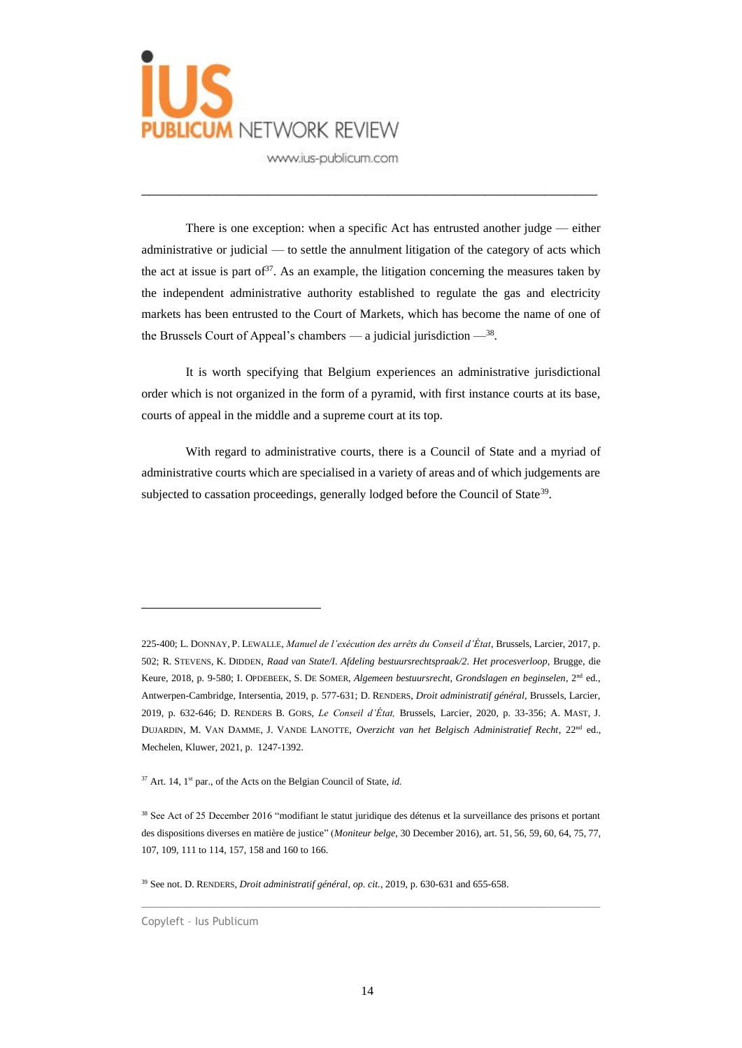

There is one exception: when a specific Act has entrusted another judge — either administrative or judicial — to settle the annulment litigation of the category of acts which the act at issue is part of  $37$ . As an example, the litigation concerning the measures taken by the independent administrative authority established to regulate the gas and electricity markets has been entrusted to the Court of Markets, which has become the name of one of the Brussels Court of Appeal's chambers — a judicial jurisdiction  $-$ <sup>38</sup>.

\_\_\_\_\_\_\_\_\_\_\_\_\_\_\_\_\_\_\_\_\_\_\_\_\_\_\_\_\_\_\_\_\_\_\_\_\_\_\_\_\_\_\_\_\_\_\_\_\_\_\_\_\_\_\_\_\_\_\_\_\_

It is worth specifying that Belgium experiences an administrative jurisdictional order which is not organized in the form of a pyramid, with first instance courts at its base, courts of appeal in the middle and a supreme court at its top.

With regard to administrative courts, there is a Council of State and a myriad of administrative courts which are specialised in a variety of areas and of which judgements are subjected to cassation proceedings, generally lodged before the Council of State<sup>39</sup>.

<sup>225-400;</sup> L. DONNAY, P. LEWALLE, *Manuel de l'exécution des arrêts du Conseil d'État*, Brussels, Larcier, 2017, p. 502; R. STEVENS, K. DIDDEN, *Raad van State/I. Afdeling bestuursrechtspraak/2. Het procesverloop*, Brugge, die Keure, 2018, p. 9-580; I. OPDEBEEK, S. DE SOMER, *Algemeen bestuursrecht, Grondslagen en beginselen*, 2nd ed., Antwerpen-Cambridge, Intersentia, 2019, p. 577-631; D. RENDERS, *Droit administratif général,* Brussels, Larcier, 2019, p. 632-646; D. RENDERS B. GORS, *Le Conseil d'État,* Brussels, Larcier, 2020, p. 33-356; A. MAST, J. DUJARDIN, M. VAN DAMME, J. VANDE LANOTTE, *Overzicht van het Belgisch Administratief Recht*, 22<sup>nd</sup> ed., Mechelen, Kluwer, 2021, p. 1247-1392.

<sup>&</sup>lt;sup>37</sup> Art. 14, 1<sup>st</sup> par., of the Acts on the Belgian Council of State, *id.* 

<sup>38</sup> See Act of 25 December 2016 "modifiant le statut juridique des détenus et la surveillance des prisons et portant des dispositions diverses en matière de justice" (*Moniteur belge*, 30 December 2016), art. 51, 56, 59, 60, 64, 75, 77, 107, 109, 111 to 114, 157, 158 and 160 to 166.

<sup>39</sup> See not. D. RENDERS, *Droit administratif général*, *op. cit.*, 2019, p. 630-631 and 655-658.

Copyleft – Ius Publicum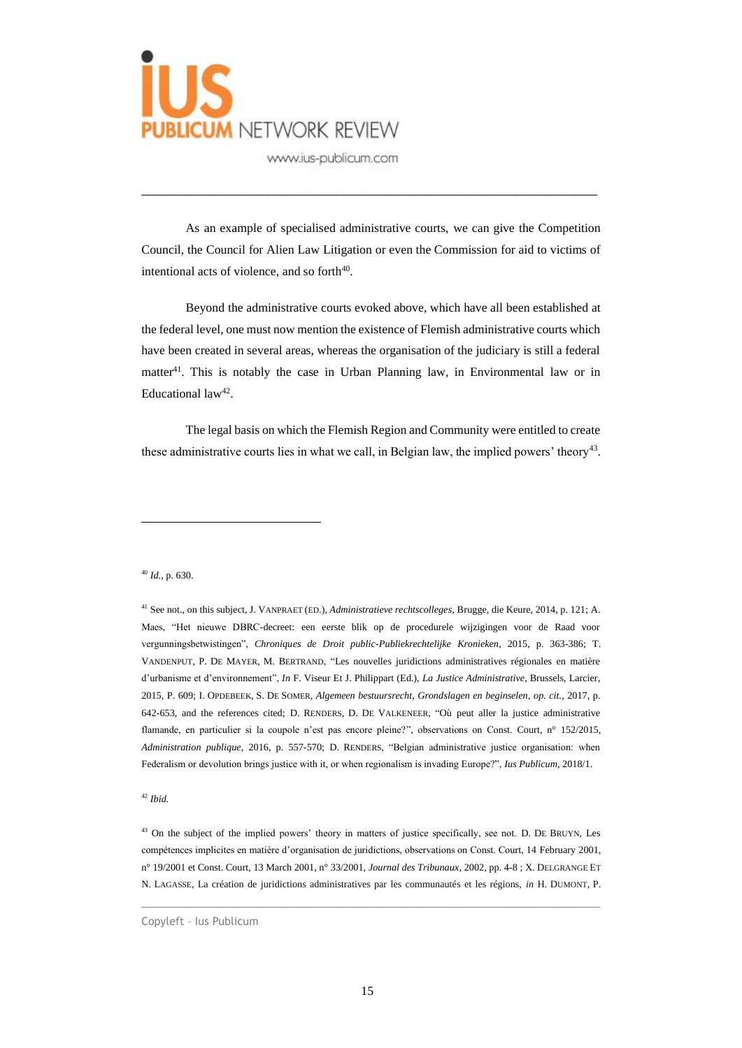

As an example of specialised administrative courts, we can give the Competition Council, the Council for Alien Law Litigation or even the Commission for aid to victims of intentional acts of violence, and so forth<sup>40</sup>.

\_\_\_\_\_\_\_\_\_\_\_\_\_\_\_\_\_\_\_\_\_\_\_\_\_\_\_\_\_\_\_\_\_\_\_\_\_\_\_\_\_\_\_\_\_\_\_\_\_\_\_\_\_\_\_\_\_\_\_\_\_

Beyond the administrative courts evoked above, which have all been established at the federal level, one must now mention the existence of Flemish administrative courts which have been created in several areas, whereas the organisation of the judiciary is still a federal matter $4<sup>1</sup>$ . This is notably the case in Urban Planning law, in Environmental law or in Educational  $law<sup>42</sup>$ .

The legal basis on which the Flemish Region and Community were entitled to create these administrative courts lies in what we call, in Belgian law, the implied powers' theory<sup>43</sup>.

<sup>40</sup> *Id.*, p. 630.

<sup>41</sup> See not., on this subject, J. VANPRAET (ED.), *Administratieve rechtscolleges*, Brugge, die Keure, 2014, p. 121; A. Maes, "Het nieuwe DBRC-decreet: een eerste blik op de procedurele wijzigingen voor de Raad voor vergunningsbetwistingen", *Chroniques de Droit public-Publiekrechtelijke Kronieken*, 2015, p. 363-386; T. VANDENPUT, P. DE MAYER, M. BERTRAND, "Les nouvelles juridictions administratives régionales en matière d'urbanisme et d'environnement", *In* F. Viseur Et J. Philippart (Ed.), *La Justice Administrative*, Brussels, Larcier, 2015, P. 609; I. OPDEBEEK, S. DE SOMER, *Algemeen bestuursrecht, Grondslagen en beginselen*, *op. cit.*, 2017, p. 642-653, and the references cited; D. RENDERS, D. DE VALKENEER, "Où peut aller la justice administrative flamande, en particulier si la coupole n'est pas encore pleine?", observations on Const. Court, n° 152/2015, *Administration publique*, 2016, p. 557-570; D. RENDERS, "Belgian administrative justice organisation: when Federalism or devolution brings justice with it, or when regionalism is invading Europe?", *Ius Publicum*, 2018/1.

<sup>42</sup> *Ibid.*

<sup>43</sup> On the subject of the implied powers' theory in matters of justice specifically, see not. D. DE BRUYN, Les compétences implicites en matière d'organisation de juridictions, observations on Const. Court, 14 February 2001, n° 19/2001 et Const. Court, 13 March 2001, n° 33/2001, *Journal des Tribunaux*, 2002, pp. 4-8 ; X. DELGRANGE ET N. LAGASSE, La création de juridictions administratives par les communautés et les régions, *in* H. DUMONT, P.

 $\_$  , and the set of the set of the set of the set of the set of the set of the set of the set of the set of the set of the set of the set of the set of the set of the set of the set of the set of the set of the set of th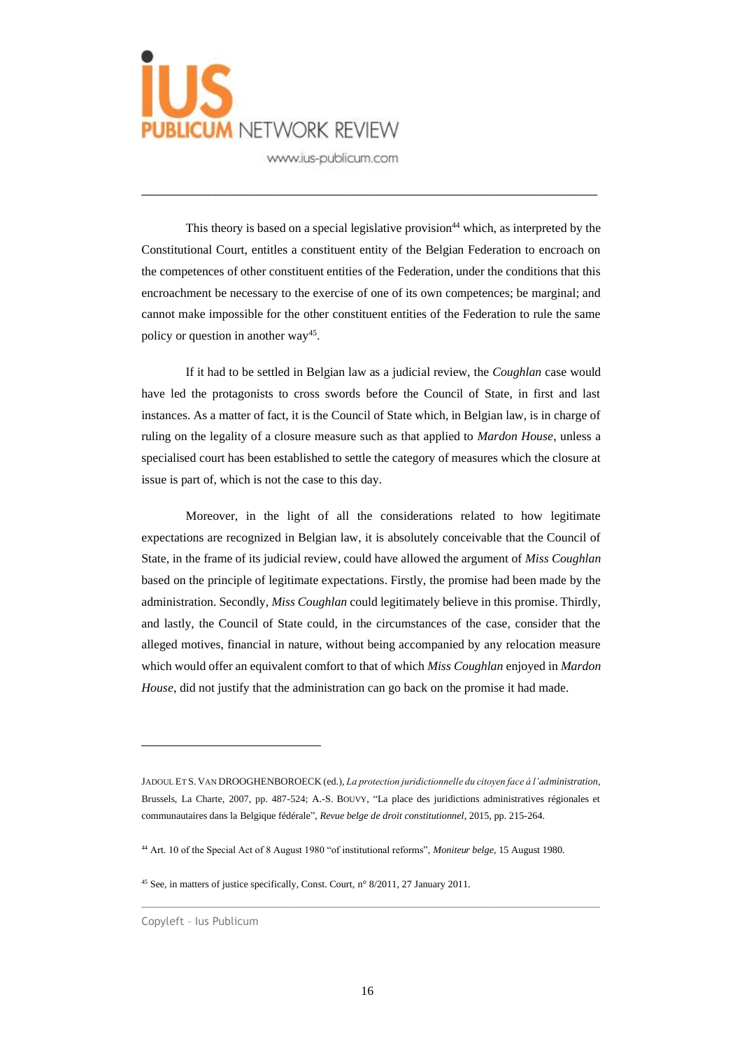

This theory is based on a special legislative provision  $44$  which, as interpreted by the Constitutional Court, entitles a constituent entity of the Belgian Federation to encroach on the competences of other constituent entities of the Federation, under the conditions that this encroachment be necessary to the exercise of one of its own competences; be marginal; and cannot make impossible for the other constituent entities of the Federation to rule the same policy or question in another way<sup>45</sup>.

\_\_\_\_\_\_\_\_\_\_\_\_\_\_\_\_\_\_\_\_\_\_\_\_\_\_\_\_\_\_\_\_\_\_\_\_\_\_\_\_\_\_\_\_\_\_\_\_\_\_\_\_\_\_\_\_\_\_\_\_\_

If it had to be settled in Belgian law as a judicial review, the *Coughlan* case would have led the protagonists to cross swords before the Council of State, in first and last instances. As a matter of fact, it is the Council of State which, in Belgian law, is in charge of ruling on the legality of a closure measure such as that applied to *Mardon House*, unless a specialised court has been established to settle the category of measures which the closure at issue is part of, which is not the case to this day.

Moreover, in the light of all the considerations related to how legitimate expectations are recognized in Belgian law, it is absolutely conceivable that the Council of State, in the frame of its judicial review, could have allowed the argument of *Miss Coughlan* based on the principle of legitimate expectations. Firstly, the promise had been made by the administration. Secondly, *Miss Coughlan* could legitimately believe in this promise. Thirdly, and lastly, the Council of State could, in the circumstances of the case, consider that the alleged motives, financial in nature, without being accompanied by any relocation measure which would offer an equivalent comfort to that of which *Miss Coughlan* enjoyed in *Mardon House*, did not justify that the administration can go back on the promise it had made.

 $\_$  , and the set of the set of the set of the set of the set of the set of the set of the set of the set of the set of the set of the set of the set of the set of the set of the set of the set of the set of the set of th

JADOUL ET S. VAN DROOGHENBOROECK (ed.), *La protection juridictionnelle du citoyen face à l'administration*, Brussels, La Charte, 2007, pp. 487-524; A.-S. BOUVY, "La place des juridictions administratives régionales et communautaires dans la Belgique fédérale", *Revue belge de droit constitutionnel*, 2015, pp. 215-264.

<sup>44</sup> Art. 10 of the Special Act of 8 August 1980 "of institutional reforms", *Moniteur belge*, 15 August 1980.

<sup>45</sup> See, in matters of justice specifically, Const. Court, n° 8/2011, 27 January 2011.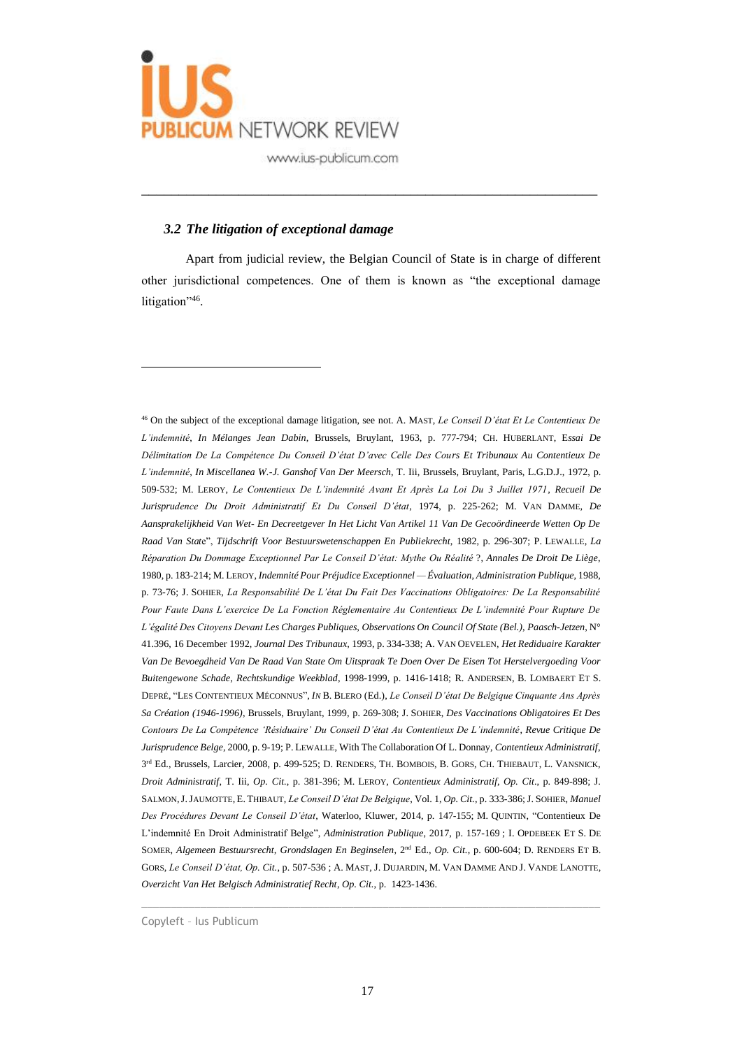

### *3.2 The litigation of exceptional damage*

Apart from judicial review, the Belgian Council of State is in charge of different other jurisdictional competences. One of them is known as "the exceptional damage litigation",46.

\_\_\_\_\_\_\_\_\_\_\_\_\_\_\_\_\_\_\_\_\_\_\_\_\_\_\_\_\_\_\_\_\_\_\_\_\_\_\_\_\_\_\_\_\_\_\_\_\_\_\_\_\_\_\_\_\_\_\_\_\_

<sup>46</sup> On the subject of the exceptional damage litigation, see not. A. MAST, *Le Conseil D'état Et Le Contentieux De L'indemnité*, *In Mélanges Jean Dabin,* Brussels, Bruylant, 1963, p. 777-794; CH. HUBERLANT, E*ssai De Délimitation De La Compétence Du Conseil D'état D'avec Celle Des Cours Et Tribunaux Au Contentieux De L'indemnité*, *In Miscellanea W.-J. Ganshof Van Der Meersch*, T. Iii, Brussels, Bruylant, Paris, L.G.D.J., 1972, p. 509-532; M. LEROY, *Le Contentieux De L'indemnité Avant Et Après La Loi Du 3 Juillet 1971, Recueil De Jurisprudence Du Droit Administratif Et Du Conseil D'état*, 1974, p. 225-262; M. VAN DAMME, *De Aansprakelijkheid Van Wet- En Decreetgever In Het Licht Van Artikel 11 Van De Gecoördineerde Wetten Op De Raad Van Stat*e", *Tijdschrift Voor Bestuurswetenschappen En Publiekrecht*, 1982, p. 296-307; P. LEWALLE, *La Réparation Du Dommage Exceptionnel Par Le Conseil D'état: Mythe Ou Réalité* ?, *Annales De Droit De Liège*, 1980, p. 183-214; M. LEROY, *Indemnité Pour Préjudice Exceptionnel — Évaluation*, *Administration Publique*, 1988, p. 73-76; J. SOHIER, *La Responsabilité De L'état Du Fait Des Vaccinations Obligatoires: De La Responsabilité Pour Faute Dans L'exercice De La Fonction Réglementaire Au Contentieux De L'indemnité Pour Rupture De L'égalité Des Citoyens Devant Les Charges Publiques, Observations On Council Of State (Bel.), Paasch-Jetzen*, N° 41.396, 16 December 1992, *Journal Des Tribunaux*, 1993, p. 334-338; A. VAN OEVELEN, *Het Rediduaire Karakter Van De Bevoegdheid Van De Raad Van State Om Uitspraak Te Doen Over De Eisen Tot Herstelvergoeding Voor Buitengewone Schade*, *Rechtskundige Weekblad*, 1998-1999, p. 1416-1418; R. ANDERSEN, B. LOMBAERT ET S. DEPRÉ, "LES CONTENTIEUX MÉCONNUS", *IN* B. BLERO (Ed.), *Le Conseil D'état De Belgique Cinquante Ans Après Sa Création (1946-1996)*, Brussels, Bruylant, 1999, p. 269-308; J. SOHIER, *Des Vaccinations Obligatoires Et Des Contours De La Compétence 'Résiduaire' Du Conseil D'état Au Contentieux De L'indemnité*, *Revue Critique De Jurisprudence Belge*, 2000, p. 9-19; P. LEWALLE, With The Collaboration Of L. Donnay, *Contentieux Administratif*, 3<sup>rd</sup> Ed., Brussels, Larcier, 2008, p. 499-525; D. RENDERS, TH. BOMBOIS, B. GORS, CH. THIEBAUT, L. VANSNICK, *Droit Administratif*, T. Iii, *Op. Cit.*, p. 381-396; M. LEROY, *Contentieux Administratif*, *Op. Cit*., p. 849-898; J. SALMON,J.JAUMOTTE, E. THIBAUT, *Le Conseil D'état De Belgique*, Vol. 1, *Op. Cit.*, p. 333-386; J. SOHIER, *Manuel Des Procédures Devant Le Conseil D'état*, Waterloo, Kluwer, 2014, p. 147-155; M. QUINTIN, "Contentieux De L'indemnité En Droit Administratif Belge", *Administration Publique*, 2017, p. 157-169 ; I. OPDEBEEK ET S. DE SOMER, *Algemeen Bestuursrecht, Grondslagen En Beginselen*, 2nd Ed., *Op. Cit.*, p. 600-604; D. RENDERS ET B. GORS, *Le Conseil D'état, Op. Cit.*, p. 507-536 ; A. MAST, J. DUJARDIN, M. VAN DAMME AND J. VANDE LANOTTE, *Overzicht Van Het Belgisch Administratief Recht*, *Op. Cit.*, p. 1423-1436.

Copyleft – Ius Publicum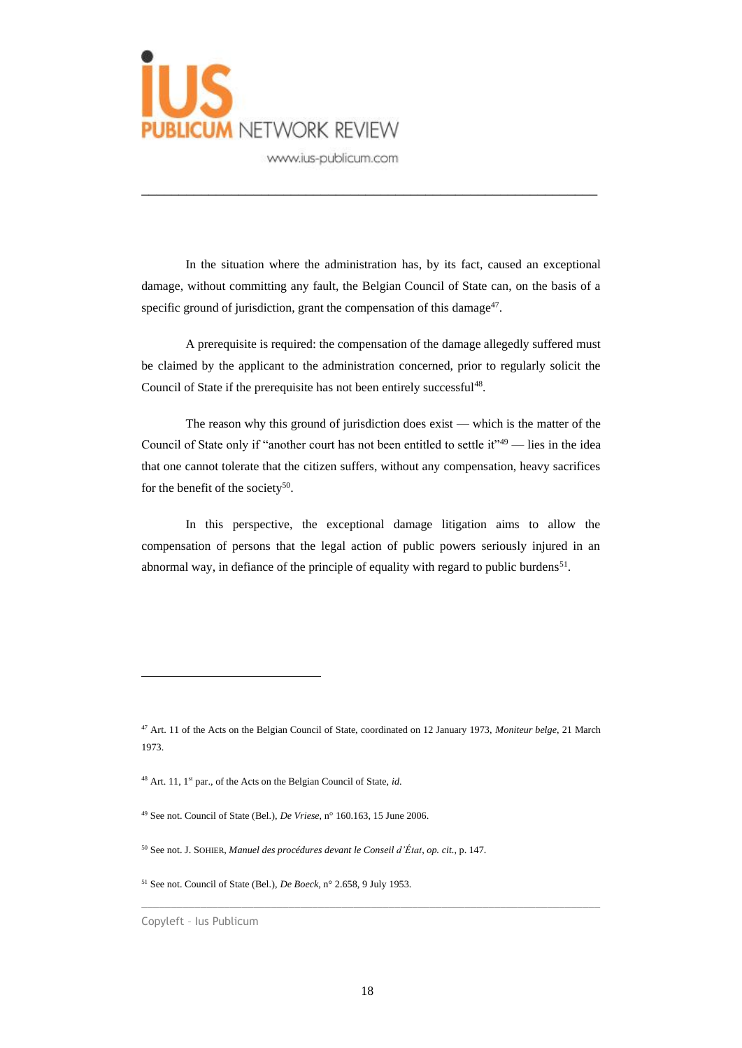

In the situation where the administration has, by its fact, caused an exceptional damage, without committing any fault, the Belgian Council of State can, on the basis of a specific ground of jurisdiction, grant the compensation of this damage $47$ .

\_\_\_\_\_\_\_\_\_\_\_\_\_\_\_\_\_\_\_\_\_\_\_\_\_\_\_\_\_\_\_\_\_\_\_\_\_\_\_\_\_\_\_\_\_\_\_\_\_\_\_\_\_\_\_\_\_\_\_\_\_

A prerequisite is required: the compensation of the damage allegedly suffered must be claimed by the applicant to the administration concerned, prior to regularly solicit the Council of State if the prerequisite has not been entirely successful<sup>48</sup>.

The reason why this ground of jurisdiction does exist — which is the matter of the Council of State only if "another court has not been entitled to settle it" $49$  — lies in the idea that one cannot tolerate that the citizen suffers, without any compensation, heavy sacrifices for the benefit of the society<sup>50</sup>.

In this perspective, the exceptional damage litigation aims to allow the compensation of persons that the legal action of public powers seriously injured in an abnormal way, in defiance of the principle of equality with regard to public burdens<sup>51</sup>.

<sup>47</sup> Art. 11 of the Acts on the Belgian Council of State, coordinated on 12 January 1973, *Moniteur belge*, 21 March 1973.

<sup>&</sup>lt;sup>48</sup> Art. 11, 1<sup>st</sup> par., of the Acts on the Belgian Council of State, *id*.

<sup>49</sup> See not. Council of State (Bel.), *De Vriese*, n° 160.163, 15 June 2006.

<sup>50</sup> See not. J. SOHIER, *Manuel des procédures devant le Conseil d'État*, *op. cit.*, p. 147.

<sup>51</sup> See not. Council of State (Bel.), *De Boeck*, n° 2.658, 9 July 1953.

Copyleft – Ius Publicum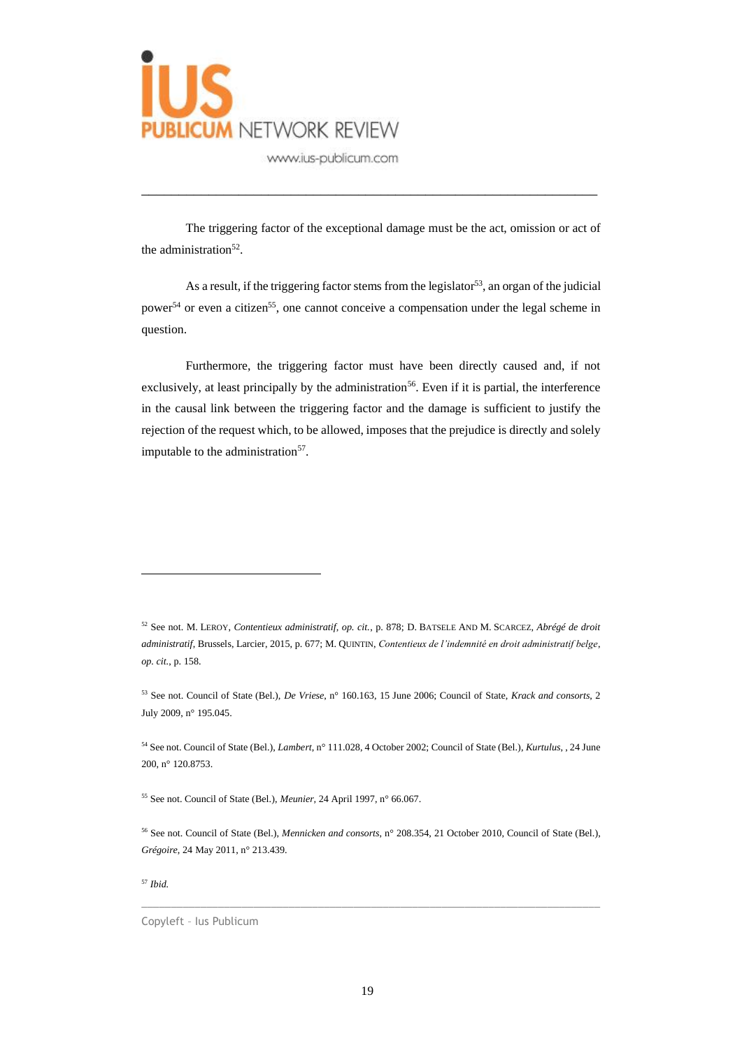

The triggering factor of the exceptional damage must be the act, omission or act of the administration<sup>52</sup>.

\_\_\_\_\_\_\_\_\_\_\_\_\_\_\_\_\_\_\_\_\_\_\_\_\_\_\_\_\_\_\_\_\_\_\_\_\_\_\_\_\_\_\_\_\_\_\_\_\_\_\_\_\_\_\_\_\_\_\_\_\_

As a result, if the triggering factor stems from the legislator<sup>53</sup>, an organ of the judicial power<sup>54</sup> or even a citizen<sup>55</sup>, one cannot conceive a compensation under the legal scheme in question.

Furthermore, the triggering factor must have been directly caused and, if not exclusively, at least principally by the administration<sup>56</sup>. Even if it is partial, the interference in the causal link between the triggering factor and the damage is sufficient to justify the rejection of the request which, to be allowed, imposes that the prejudice is directly and solely imputable to the administration<sup>57</sup>.

<sup>55</sup> See not. Council of State (Bel.), *Meunier,* 24 April 1997, n° 66.067.

 $\_$  , and the set of the set of the set of the set of the set of the set of the set of the set of the set of the set of the set of the set of the set of the set of the set of the set of the set of the set of the set of th

<sup>57</sup> *Ibid.*

<sup>52</sup> See not. M. LEROY, *Contentieux administratif, op. cit.*, p. 878; D. BATSELE AND M. SCARCEZ, *Abrégé de droit administratif*, Brussels, Larcier, 2015, p. 677; M. QUINTIN, *Contentieux de l'indemnité en droit administratif belge*, *op. cit.*, p. 158.

<sup>53</sup> See not. Council of State (Bel.), *De Vriese*, n° 160.163, 15 June 2006; Council of State, *Krack and consorts*, 2 July 2009, n° 195.045.

<sup>54</sup> See not. Council of State (Bel.), *Lambert*, n° 111.028, 4 October 2002; Council of State (Bel.), *Kurtulus*, , 24 June 200, n° 120.8753.

<sup>56</sup> See not. Council of State (Bel.), *Mennicken and consorts*, n° 208.354, 21 October 2010, Council of State (Bel.), *Grégoire*, 24 May 2011, n° 213.439.

Copyleft – Ius Publicum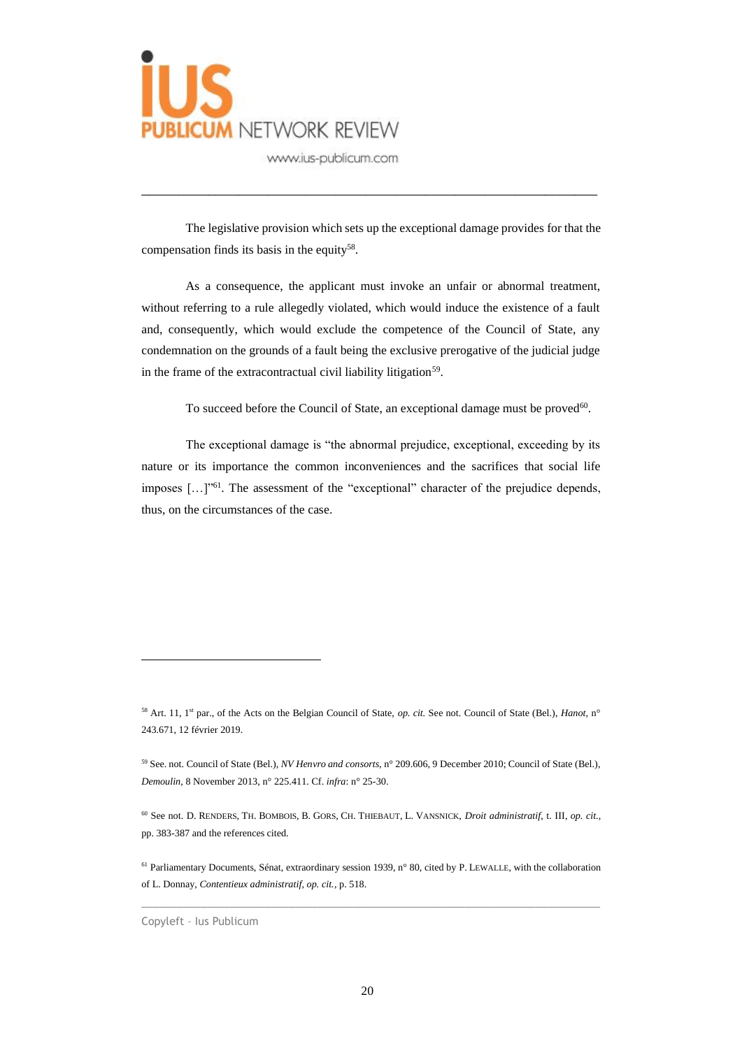

The legislative provision which sets up the exceptional damage provides for that the compensation finds its basis in the equity<sup>58</sup>.

\_\_\_\_\_\_\_\_\_\_\_\_\_\_\_\_\_\_\_\_\_\_\_\_\_\_\_\_\_\_\_\_\_\_\_\_\_\_\_\_\_\_\_\_\_\_\_\_\_\_\_\_\_\_\_\_\_\_\_\_\_

As a consequence, the applicant must invoke an unfair or abnormal treatment, without referring to a rule allegedly violated, which would induce the existence of a fault and, consequently, which would exclude the competence of the Council of State, any condemnation on the grounds of a fault being the exclusive prerogative of the judicial judge in the frame of the extracontractual civil liability litigation<sup>59</sup>.

To succeed before the Council of State, an exceptional damage must be proved $60$ .

The exceptional damage is "the abnormal prejudice, exceptional, exceeding by its nature or its importance the common inconveniences and the sacrifices that social life imposes […]"<sup>61</sup>. The assessment of the "exceptional" character of the prejudice depends, thus, on the circumstances of the case.

 $\_$  , and the set of the set of the set of the set of the set of the set of the set of the set of the set of the set of the set of the set of the set of the set of the set of the set of the set of the set of the set of th

<sup>58</sup> Art. 11, 1st par., of the Acts on the Belgian Council of State, *op. cit.* See not. Council of State (Bel.), *Hanot*, n° 243.671, 12 février 2019.

<sup>59</sup> See. not. Council of State (Bel.), *NV Henvro and consorts*, n° 209.606, 9 December 2010; Council of State (Bel.), *Demoulin*, 8 November 2013, n° 225.411. Cf. *infra*: n° 25-30.

<sup>60</sup> See not. D. RENDERS, TH. BOMBOIS, B. GORS, CH. THIEBAUT, L. VANSNICK, *Droit administratif*, t. III, *op. cit.*, pp. 383-387 and the references cited.

<sup>61</sup> Parliamentary Documents, Sénat, extraordinary session 1939, n° 80, cited by P. LEWALLE, with the collaboration of L. Donnay, *Contentieux administratif, op. cit.*, p. 518.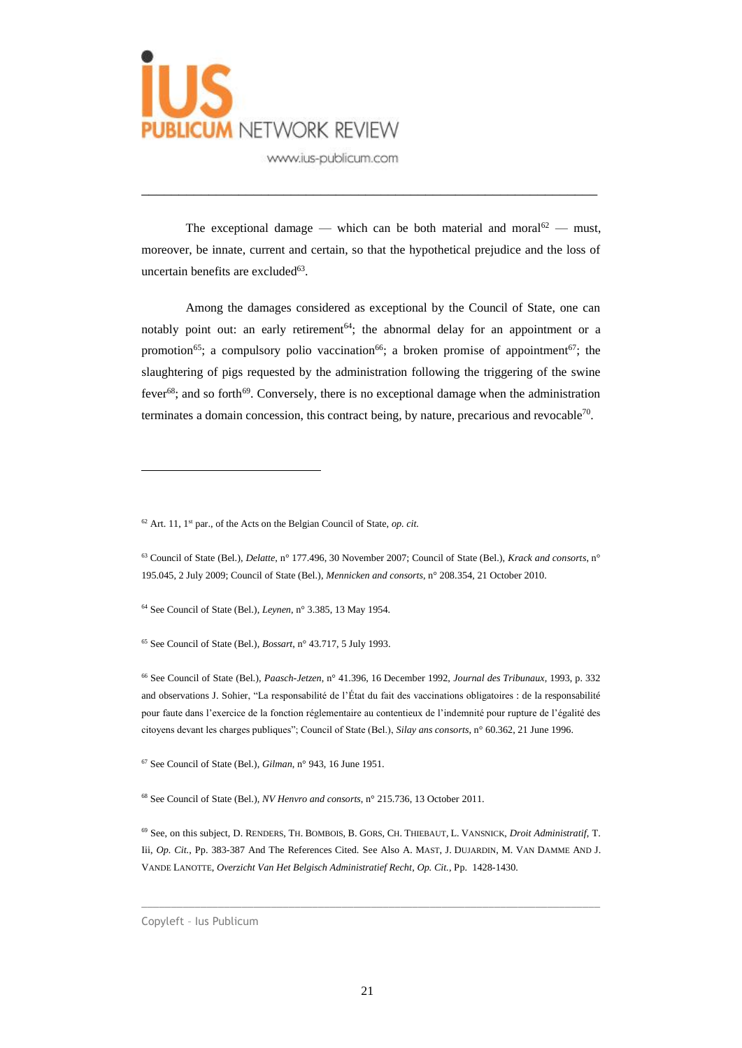

The exceptional damage — which can be both material and moral<sup>62</sup> — must, moreover, be innate, current and certain, so that the hypothetical prejudice and the loss of uncertain benefits are excluded<sup>63</sup>.

\_\_\_\_\_\_\_\_\_\_\_\_\_\_\_\_\_\_\_\_\_\_\_\_\_\_\_\_\_\_\_\_\_\_\_\_\_\_\_\_\_\_\_\_\_\_\_\_\_\_\_\_\_\_\_\_\_\_\_\_\_

Among the damages considered as exceptional by the Council of State, one can notably point out: an early retirement<sup>64</sup>; the abnormal delay for an appointment or a promotion<sup>65</sup>; a compulsory polio vaccination<sup>66</sup>; a broken promise of appointment<sup>67</sup>; the slaughtering of pigs requested by the administration following the triggering of the swine fever<sup>68</sup>; and so forth<sup>69</sup>. Conversely, there is no exceptional damage when the administration terminates a domain concession, this contract being, by nature, precarious and revocable<sup>70</sup>.

 $62$  Art. 11, 1<sup>st</sup> par., of the Acts on the Belgian Council of State, *op. cit.* 

<sup>64</sup> See Council of State (Bel.), *Leynen*, n° 3.385, 13 May 1954.

<sup>65</sup> See Council of State (Bel.), *Bossart*, n° 43.717, 5 July 1993.

<sup>66</sup> See Council of State (Bel.), *Paasch-Jetzen*, n° 41.396, 16 December 1992, *Journal des Tribunaux*, 1993, p. 332 and observations J. Sohier, "La responsabilité de l'État du fait des vaccinations obligatoires : de la responsabilité pour faute dans l'exercice de la fonction réglementaire au contentieux de l'indemnité pour rupture de l'égalité des citoyens devant les charges publiques"; Council of State (Bel.), *Silay ans consorts*, n° 60.362, 21 June 1996.

<sup>67</sup> See Council of State (Bel.), *Gilman*, n° 943, 16 June 1951.

<sup>68</sup> See Council of State (Bel.), *NV Henvro and consorts*, n° 215.736, 13 October 2011.

<sup>69</sup> See, on this subject, D. RENDERS, TH. BOMBOIS, B. GORS, CH. THIEBAUT, L. VANSNICK, *Droit Administratif*, T. Iii, *Op. Cit.*, Pp. 383-387 And The References Cited. See Also A. MAST, J. DUJARDIN, M. VAN DAMME AND J. VANDE LANOTTE, *Overzicht Van Het Belgisch Administratief Recht*, *Op. Cit.*, Pp. 1428-1430.

 $\_$  , and the set of the set of the set of the set of the set of the set of the set of the set of the set of the set of the set of the set of the set of the set of the set of the set of the set of the set of the set of th

<sup>63</sup> Council of State (Bel.), *Delatte*, n° 177.496, 30 November 2007; Council of State (Bel.), *Krack and consorts*, n° 195.045, 2 July 2009; Council of State (Bel.), *Mennicken and consorts*, n° 208.354, 21 October 2010.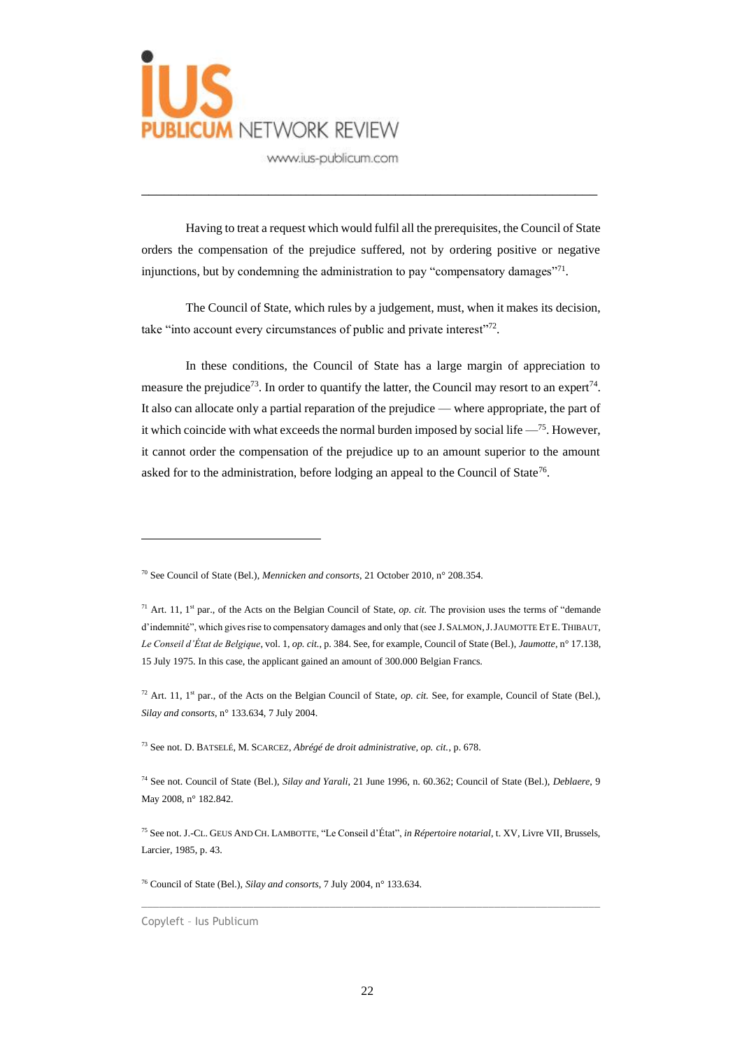

Having to treat a request which would fulfil all the prerequisites, the Council of State orders the compensation of the prejudice suffered, not by ordering positive or negative injunctions, but by condemning the administration to pay "compensatory damages"<sup>71</sup>.

\_\_\_\_\_\_\_\_\_\_\_\_\_\_\_\_\_\_\_\_\_\_\_\_\_\_\_\_\_\_\_\_\_\_\_\_\_\_\_\_\_\_\_\_\_\_\_\_\_\_\_\_\_\_\_\_\_\_\_\_\_

The Council of State, which rules by a judgement, must, when it makes its decision, take "into account every circumstances of public and private interest"<sup>72</sup>.

In these conditions, the Council of State has a large margin of appreciation to measure the prejudice<sup>73</sup>. In order to quantify the latter, the Council may resort to an expert<sup>74</sup>. It also can allocate only a partial reparation of the prejudice — where appropriate, the part of it which coincide with what exceeds the normal burden imposed by social life  $-$ <sup>75</sup>. However, it cannot order the compensation of the prejudice up to an amount superior to the amount asked for to the administration, before lodging an appeal to the Council of State<sup>76</sup>.

 $\_$  , and the set of the set of the set of the set of the set of the set of the set of the set of the set of the set of the set of the set of the set of the set of the set of the set of the set of the set of the set of th

<sup>76</sup> Council of State (Bel.), *Silay and consorts*, 7 July 2004, n° 133.634.

<sup>70</sup> See Council of State (Bel.), *Mennicken and consorts*, 21 October 2010, n° 208.354.

<sup>&</sup>lt;sup>71</sup> Art. 11, 1<sup>st</sup> par., of the Acts on the Belgian Council of State, *op. cit.* The provision uses the terms of "demande d'indemnité", which gives rise to compensatory damages and only that (see J. SALMON,J.JAUMOTTE ET E. THIBAUT, *Le Conseil d'État de Belgique*, vol. 1, *op. cit.*, p. 384. See, for example, Council of State (Bel.), *Jaumotte*, n° 17.138, 15 July 1975. In this case, the applicant gained an amount of 300.000 Belgian Francs.

<sup>&</sup>lt;sup>72</sup> Art. 11, 1<sup>st</sup> par., of the Acts on the Belgian Council of State, *op. cit.* See, for example, Council of State (Bel.), *Silay and consorts*, n° 133.634, 7 July 2004.

<sup>73</sup> See not. D. BATSELÉ, M. SCARCEZ, *Abrégé de droit administrative, op. cit.*, p. 678.

<sup>74</sup> See not. Council of State (Bel.), *Silay and Yarali*, 21 June 1996, n. 60.362; Council of State (Bel.), *Deblaere*, 9 May 2008, n° 182.842.

<sup>75</sup> See not. J.-CL. GEUS AND CH. LAMBOTTE, "Le Conseil d'État", *in Répertoire notarial*, t. XV, Livre VII, Brussels, Larcier, 1985, p. 43.

Copyleft – Ius Publicum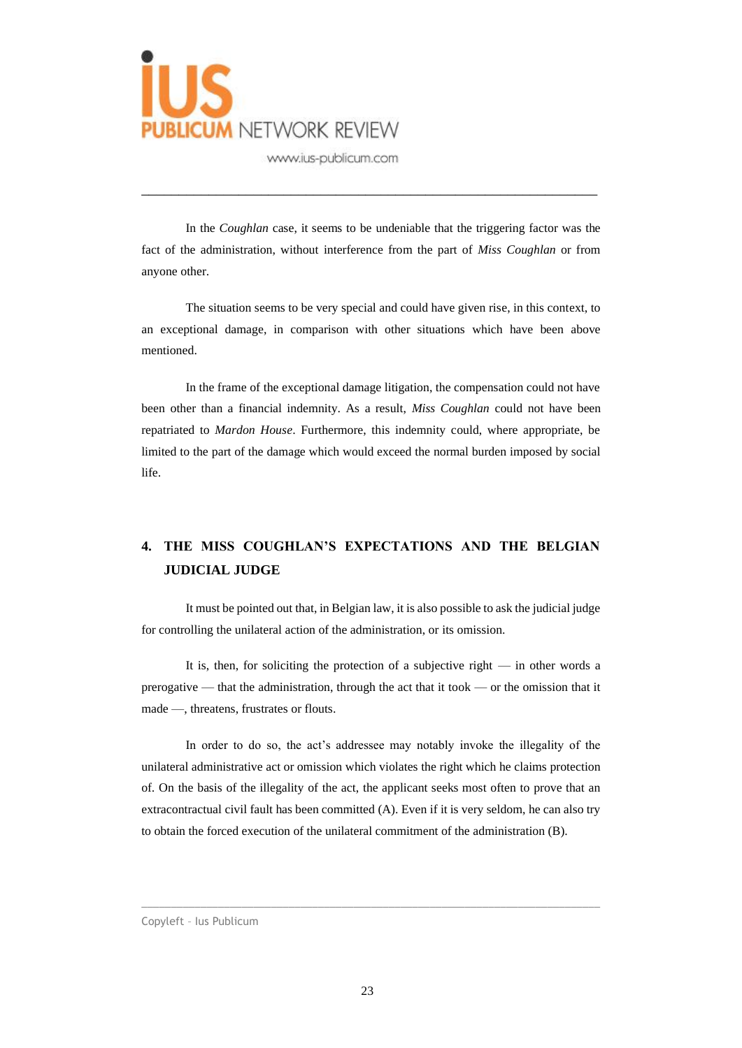

In the *Coughlan* case, it seems to be undeniable that the triggering factor was the fact of the administration, without interference from the part of *Miss Coughlan* or from anyone other.

\_\_\_\_\_\_\_\_\_\_\_\_\_\_\_\_\_\_\_\_\_\_\_\_\_\_\_\_\_\_\_\_\_\_\_\_\_\_\_\_\_\_\_\_\_\_\_\_\_\_\_\_\_\_\_\_\_\_\_\_\_

The situation seems to be very special and could have given rise, in this context, to an exceptional damage, in comparison with other situations which have been above mentioned.

In the frame of the exceptional damage litigation, the compensation could not have been other than a financial indemnity. As a result, *Miss Coughlan* could not have been repatriated to *Mardon House*. Furthermore, this indemnity could, where appropriate, be limited to the part of the damage which would exceed the normal burden imposed by social life.

## **4. THE MISS COUGHLAN'S EXPECTATIONS AND THE BELGIAN JUDICIAL JUDGE**

It must be pointed out that, in Belgian law, it is also possible to ask the judicial judge for controlling the unilateral action of the administration, or its omission.

It is, then, for soliciting the protection of a subjective right  $-$  in other words a prerogative — that the administration, through the act that it took — or the omission that it made —, threatens, frustrates or flouts.

In order to do so, the act's addressee may notably invoke the illegality of the unilateral administrative act or omission which violates the right which he claims protection of. On the basis of the illegality of the act, the applicant seeks most often to prove that an extracontractual civil fault has been committed (A). Even if it is very seldom, he can also try to obtain the forced execution of the unilateral commitment of the administration (B).

#### Copyleft – Ius Publicum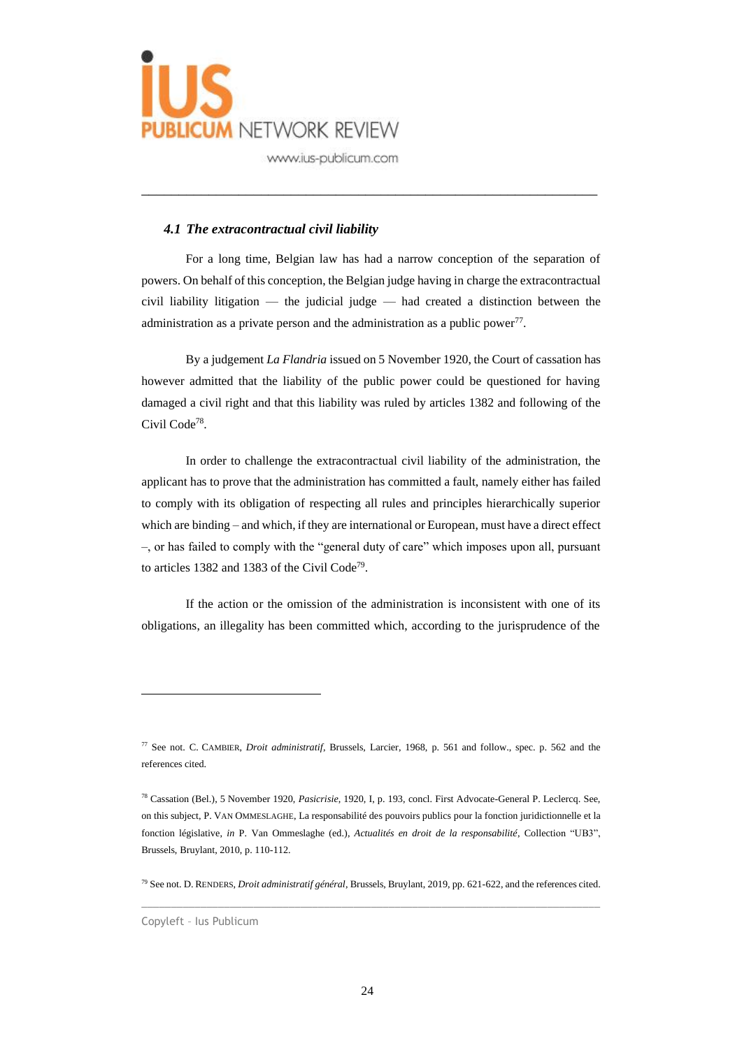

### *4.1 The extracontractual civil liability*

For a long time, Belgian law has had a narrow conception of the separation of powers. On behalf of this conception, the Belgian judge having in charge the extracontractual civil liability litigation — the judicial judge — had created a distinction between the administration as a private person and the administration as a public power $^{77}$ .

\_\_\_\_\_\_\_\_\_\_\_\_\_\_\_\_\_\_\_\_\_\_\_\_\_\_\_\_\_\_\_\_\_\_\_\_\_\_\_\_\_\_\_\_\_\_\_\_\_\_\_\_\_\_\_\_\_\_\_\_\_

By a judgement *La Flandria* issued on 5 November 1920, the Court of cassation has however admitted that the liability of the public power could be questioned for having damaged a civil right and that this liability was ruled by articles 1382 and following of the Civil Code<sup>78</sup>.

In order to challenge the extracontractual civil liability of the administration, the applicant has to prove that the administration has committed a fault, namely either has failed to comply with its obligation of respecting all rules and principles hierarchically superior which are binding – and which, if they are international or European, must have a direct effect –, or has failed to comply with the "general duty of care" which imposes upon all, pursuant to articles 1382 and 1383 of the Civil Code<sup>79</sup>.

If the action or the omission of the administration is inconsistent with one of its obligations, an illegality has been committed which, according to the jurisprudence of the

<sup>77</sup> See not. C. CAMBIER, *Droit administratif*, Brussels, Larcier, 1968, p. 561 and follow., spec. p. 562 and the references cited.

<sup>78</sup> Cassation (Bel.), 5 November 1920, *Pasicrisie*, 1920, I, p. 193, concl. First Advocate-General P. Leclercq. See, on this subject, P. VAN OMMESLAGHE, La responsabilité des pouvoirs publics pour la fonction juridictionnelle et la fonction législative, *in* P. Van Ommeslaghe (ed.), *Actualités en droit de la responsabilité*, Collection "UB3", Brussels, Bruylant, 2010, p. 110-112.

 $\_$  , and the set of the set of the set of the set of the set of the set of the set of the set of the set of the set of the set of the set of the set of the set of the set of the set of the set of the set of the set of th <sup>79</sup> See not. D. RENDERS, *Droit administratif général*, Brussels, Bruylant, 2019, pp. 621-622, and the references cited.

Copyleft – Ius Publicum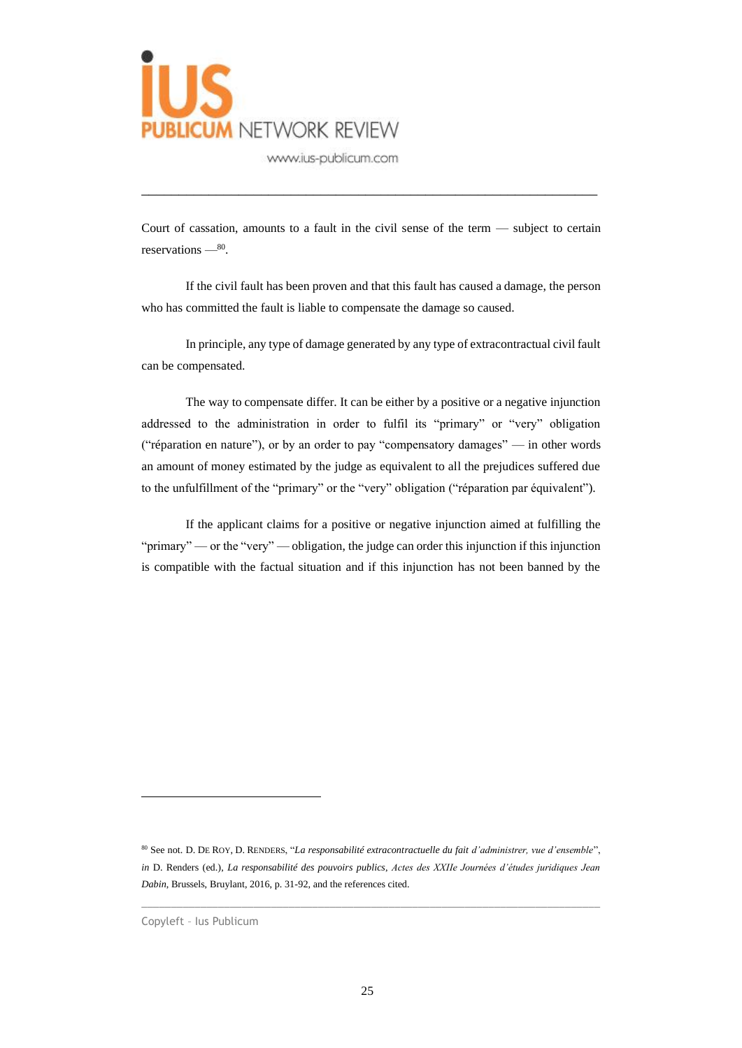

Court of cassation, amounts to a fault in the civil sense of the term — subject to certain reservations —  $80$ .

\_\_\_\_\_\_\_\_\_\_\_\_\_\_\_\_\_\_\_\_\_\_\_\_\_\_\_\_\_\_\_\_\_\_\_\_\_\_\_\_\_\_\_\_\_\_\_\_\_\_\_\_\_\_\_\_\_\_\_\_\_

If the civil fault has been proven and that this fault has caused a damage, the person who has committed the fault is liable to compensate the damage so caused.

In principle, any type of damage generated by any type of extracontractual civil fault can be compensated.

The way to compensate differ. It can be either by a positive or a negative injunction addressed to the administration in order to fulfil its "primary" or "very" obligation ("réparation en nature"), or by an order to pay "compensatory damages" — in other words an amount of money estimated by the judge as equivalent to all the prejudices suffered due to the unfulfillment of the "primary" or the "very" obligation ("réparation par équivalent").

If the applicant claims for a positive or negative injunction aimed at fulfilling the "primary" — or the "very" — obligation, the judge can order this injunction if this injunction is compatible with the factual situation and if this injunction has not been banned by the

<sup>80</sup> See not. D. DE ROY, D. RENDERS, "*La responsabilité extracontractuelle du fait d'administrer, vue d'ensemble*", *in* D. Renders (ed.), *La responsabilité des pouvoirs publics*, *Actes des XXIIe Journées d'études juridiques Jean Dabin*, Brussels, Bruylant, 2016, p. 31-92, and the references cited.

Copyleft – Ius Publicum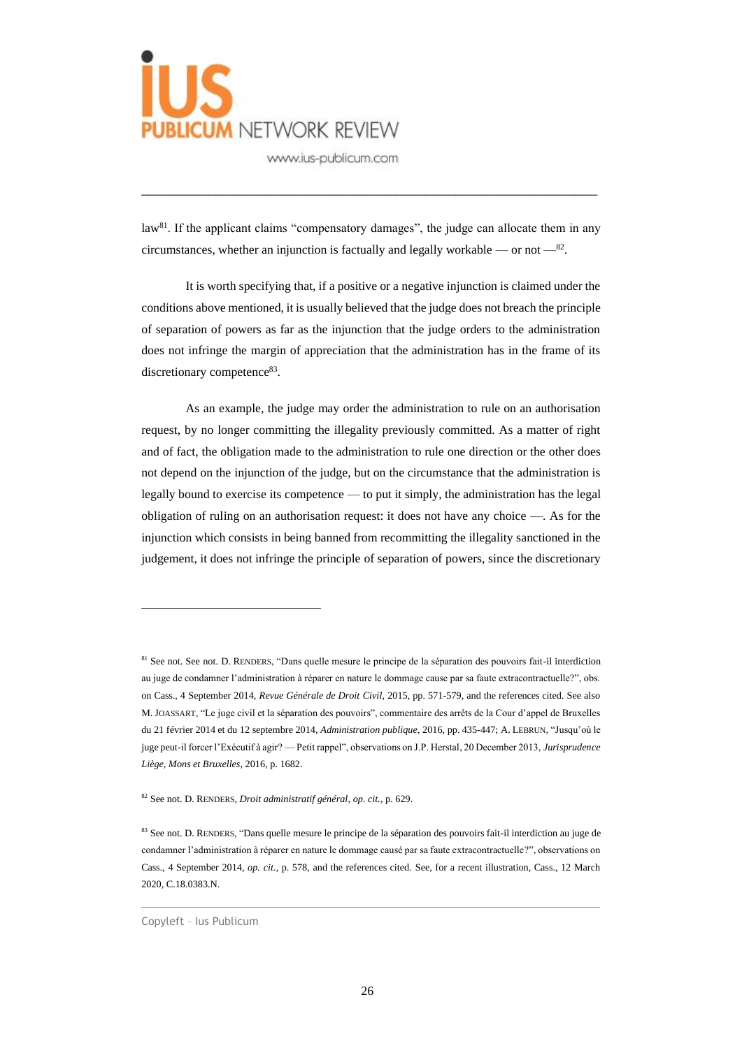

law<sup>81</sup>. If the applicant claims "compensatory damages", the judge can allocate them in any circumstances, whether an injunction is factually and legally workable — or not  $-$ <sup>82</sup>.

\_\_\_\_\_\_\_\_\_\_\_\_\_\_\_\_\_\_\_\_\_\_\_\_\_\_\_\_\_\_\_\_\_\_\_\_\_\_\_\_\_\_\_\_\_\_\_\_\_\_\_\_\_\_\_\_\_\_\_\_\_

It is worth specifying that, if a positive or a negative injunction is claimed under the conditions above mentioned, it is usually believed that the judge does not breach the principle of separation of powers as far as the injunction that the judge orders to the administration does not infringe the margin of appreciation that the administration has in the frame of its discretionary competence<sup>83</sup>.

As an example, the judge may order the administration to rule on an authorisation request, by no longer committing the illegality previously committed. As a matter of right and of fact, the obligation made to the administration to rule one direction or the other does not depend on the injunction of the judge, but on the circumstance that the administration is legally bound to exercise its competence — to put it simply, the administration has the legal obligation of ruling on an authorisation request: it does not have any choice —. As for the injunction which consists in being banned from recommitting the illegality sanctioned in the judgement, it does not infringe the principle of separation of powers, since the discretionary

<sup>81</sup> See not. See not. D. RENDERS, "Dans quelle mesure le principe de la séparation des pouvoirs fait-il interdiction au juge de condamner l'administration à réparer en nature le dommage cause par sa faute extracontractuelle?", obs. on Cass., 4 September 2014, *Revue Générale de Droit Civil*, 2015, pp. 571-579, and the references cited. See also M. JOASSART, "Le juge civil et la séparation des pouvoirs", commentaire des arrêts de la Cour d'appel de Bruxelles du 21 février 2014 et du 12 septembre 2014, *Administration publique*, 2016, pp. 435-447; A. LEBRUN, "Jusqu'où le juge peut-il forcer l'Exécutif à agir? — Petit rappel", observations on J.P. Herstal, 20 December 2013, *Jurisprudence Liège, Mons et Bruxelles*, 2016, p. 1682.

<sup>82</sup> See not. D. RENDERS, *Droit administratif général*, *op. cit.*, p. 629.

<sup>83</sup> See not. D. RENDERS, "Dans quelle mesure le principe de la séparation des pouvoirs fait-il interdiction au juge de condamner l'administration à réparer en nature le dommage causé par sa faute extracontractuelle?", observations on Cass., 4 September 2014, *op. cit.*, p. 578, and the references cited. See, for a recent illustration, Cass., 12 March 2020, C.18.0383.N.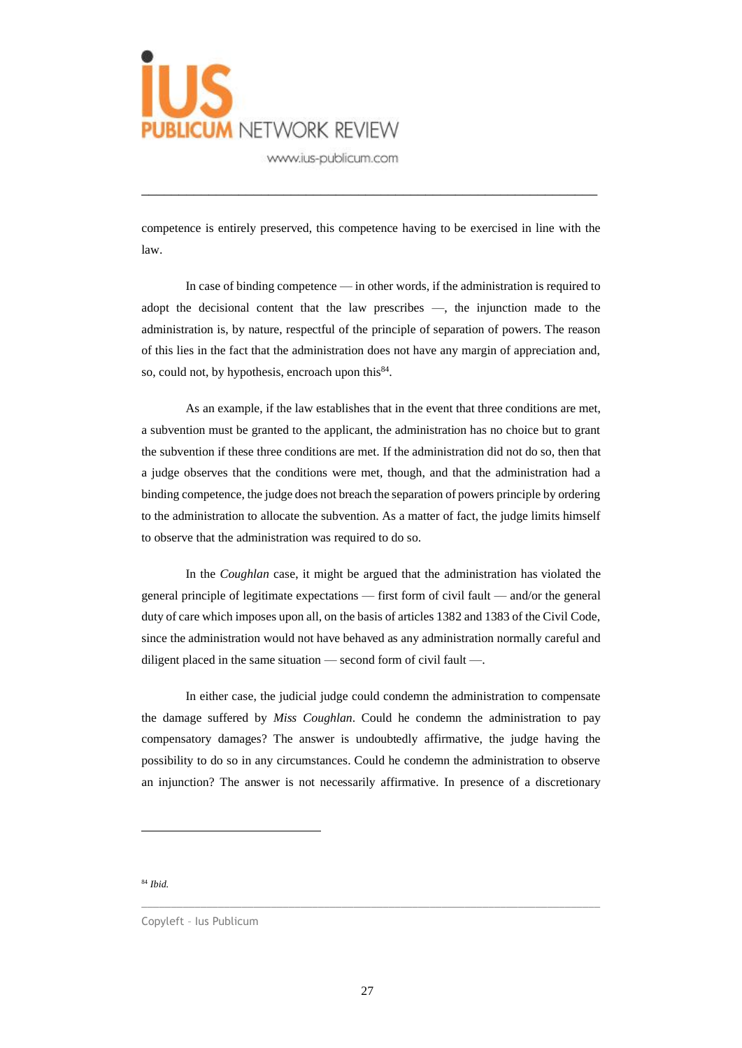

competence is entirely preserved, this competence having to be exercised in line with the law.

\_\_\_\_\_\_\_\_\_\_\_\_\_\_\_\_\_\_\_\_\_\_\_\_\_\_\_\_\_\_\_\_\_\_\_\_\_\_\_\_\_\_\_\_\_\_\_\_\_\_\_\_\_\_\_\_\_\_\_\_\_

In case of binding competence — in other words, if the administration is required to adopt the decisional content that the law prescribes —, the injunction made to the administration is, by nature, respectful of the principle of separation of powers. The reason of this lies in the fact that the administration does not have any margin of appreciation and, so, could not, by hypothesis, encroach upon this  $84$ .

As an example, if the law establishes that in the event that three conditions are met, a subvention must be granted to the applicant, the administration has no choice but to grant the subvention if these three conditions are met. If the administration did not do so, then that a judge observes that the conditions were met, though, and that the administration had a binding competence, the judge does not breach the separation of powers principle by ordering to the administration to allocate the subvention. As a matter of fact, the judge limits himself to observe that the administration was required to do so.

In the *Coughlan* case, it might be argued that the administration has violated the general principle of legitimate expectations — first form of civil fault — and/or the general duty of care which imposes upon all, on the basis of articles 1382 and 1383 of the Civil Code, since the administration would not have behaved as any administration normally careful and diligent placed in the same situation — second form of civil fault —.

In either case, the judicial judge could condemn the administration to compensate the damage suffered by *Miss Coughlan*. Could he condemn the administration to pay compensatory damages? The answer is undoubtedly affirmative, the judge having the possibility to do so in any circumstances. Could he condemn the administration to observe an injunction? The answer is not necessarily affirmative. In presence of a discretionary

<sup>84</sup> *Ibid.*

Copyleft – Ius Publicum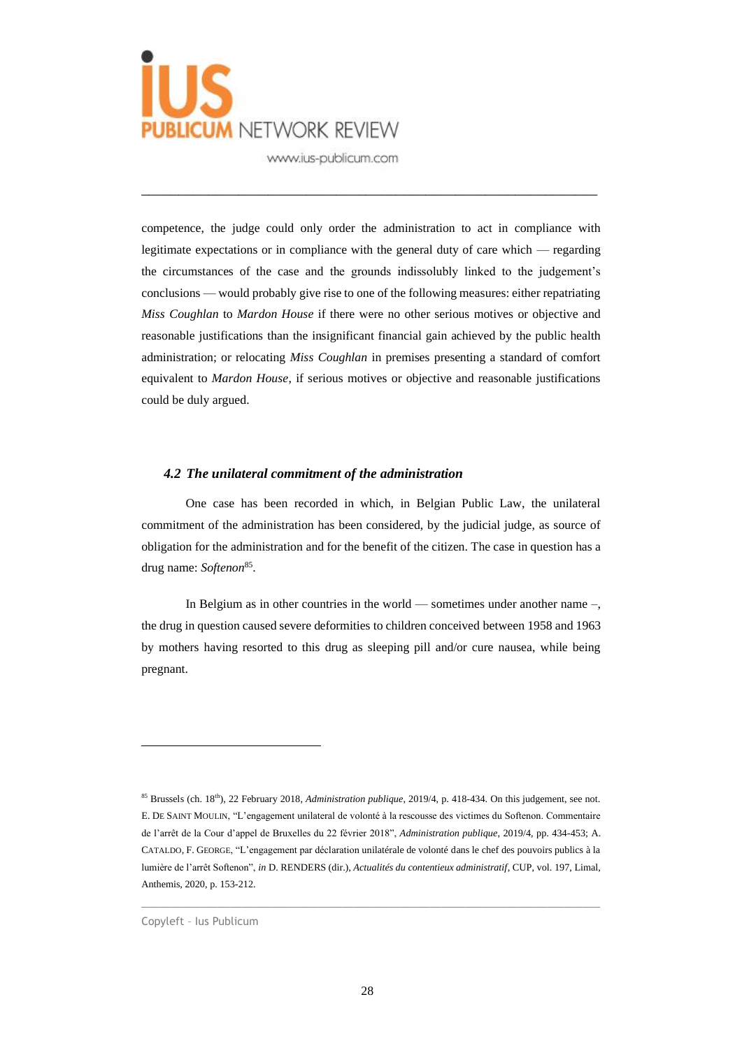

competence, the judge could only order the administration to act in compliance with legitimate expectations or in compliance with the general duty of care which — regarding the circumstances of the case and the grounds indissolubly linked to the judgement's conclusions — would probably give rise to one of the following measures: either repatriating *Miss Coughlan* to *Mardon House* if there were no other serious motives or objective and reasonable justifications than the insignificant financial gain achieved by the public health administration; or relocating *Miss Coughlan* in premises presenting a standard of comfort equivalent to *Mardon House*, if serious motives or objective and reasonable justifications could be duly argued.

\_\_\_\_\_\_\_\_\_\_\_\_\_\_\_\_\_\_\_\_\_\_\_\_\_\_\_\_\_\_\_\_\_\_\_\_\_\_\_\_\_\_\_\_\_\_\_\_\_\_\_\_\_\_\_\_\_\_\_\_\_

#### *4.2 The unilateral commitment of the administration*

One case has been recorded in which, in Belgian Public Law, the unilateral commitment of the administration has been considered, by the judicial judge, as source of obligation for the administration and for the benefit of the citizen. The case in question has a drug name: Softenon<sup>85</sup>.

In Belgium as in other countries in the world — sometimes under another name –, the drug in question caused severe deformities to children conceived between 1958 and 1963 by mothers having resorted to this drug as sleeping pill and/or cure nausea, while being pregnant.

<sup>&</sup>lt;sup>85</sup> Brussels (ch. 18<sup>th</sup>), 22 February 2018, *Administration publique*, 2019/4, p. 418-434. On this judgement, see not. E. DE SAINT MOULIN, "L'engagement unilateral de volonté à la rescousse des victimes du Softenon. Commentaire de l'arrêt de la Cour d'appel de Bruxelles du 22 février 2018", *Administration publique*, 2019/4, pp. 434-453; A. CATALDO, F. GEORGE, "L'engagement par déclaration unilatérale de volonté dans le chef des pouvoirs publics à la lumière de l'arrêt Softenon", *in* D. RENDERS (dir.), *Actualités du contentieux administratif*, CUP, vol. 197, Limal, Anthemis, 2020, p. 153-212.

Copyleft – Ius Publicum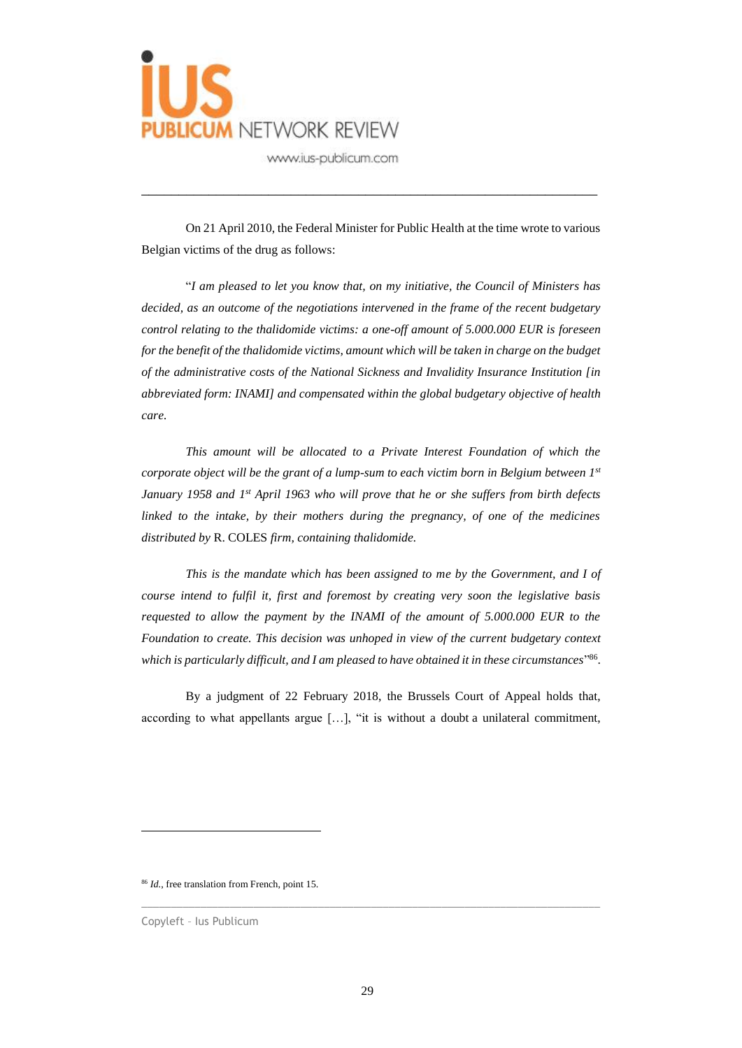

On 21 April 2010, the Federal Minister for Public Health at the time wrote to various Belgian victims of the drug as follows:

\_\_\_\_\_\_\_\_\_\_\_\_\_\_\_\_\_\_\_\_\_\_\_\_\_\_\_\_\_\_\_\_\_\_\_\_\_\_\_\_\_\_\_\_\_\_\_\_\_\_\_\_\_\_\_\_\_\_\_\_\_

"*I am pleased to let you know that, on my initiative, the Council of Ministers has decided, as an outcome of the negotiations intervened in the frame of the recent budgetary control relating to the thalidomide victims: a one-off amount of 5.000.000 EUR is foreseen for the benefit of the thalidomide victims, amount which will be taken in charge on the budget of the administrative costs of the National Sickness and Invalidity Insurance Institution [in abbreviated form: INAMI] and compensated within the global budgetary objective of health care.*

*This amount will be allocated to a Private Interest Foundation of which the corporate object will be the grant of a lump-sum to each victim born in Belgium between 1st January 1958 and 1st April 1963 who will prove that he or she suffers from birth defects linked to the intake, by their mothers during the pregnancy, of one of the medicines distributed by* R. COLES *firm, containing thalidomide.*

*This is the mandate which has been assigned to me by the Government, and I of course intend to fulfil it, first and foremost by creating very soon the legislative basis requested to allow the payment by the INAMI of the amount of 5.000.000 EUR to the Foundation to create. This decision was unhoped in view of the current budgetary context which is particularly difficult, and I am pleased to have obtained it in these circumstances*" 86 .

By a judgment of 22 February 2018, the Brussels Court of Appeal holds that, according to what appellants argue […], "it is without a doubt a unilateral commitment,

<sup>86</sup> *Id.*, free translation from French, point 15.

Copyleft – Ius Publicum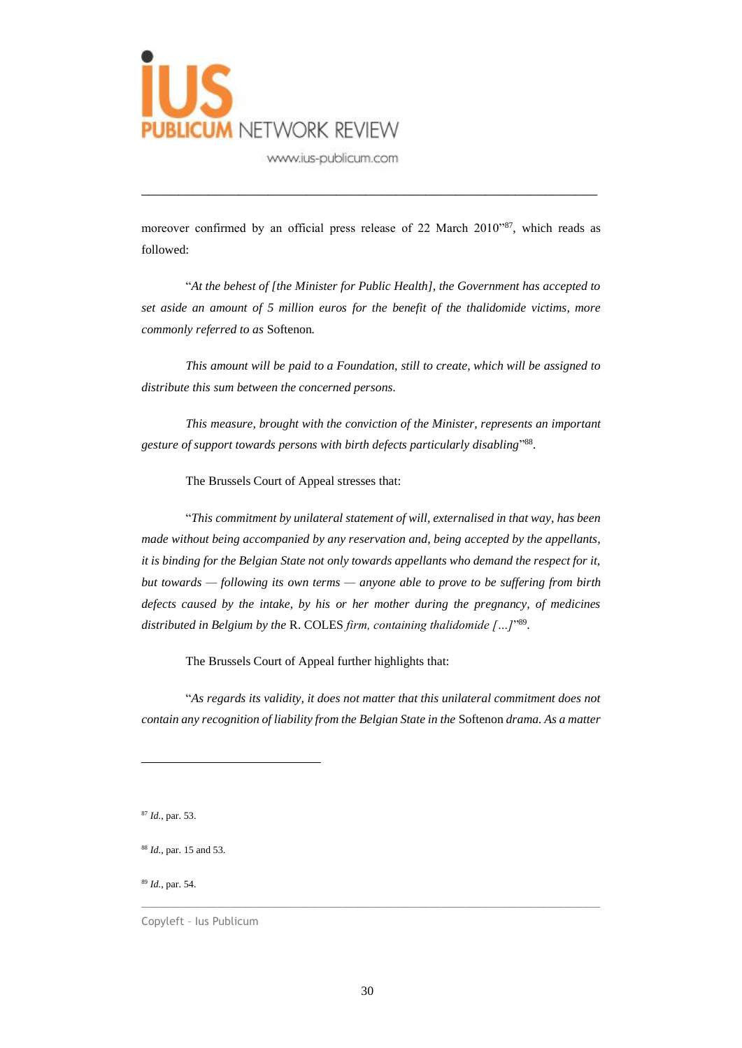

moreover confirmed by an official press release of 22 March 2010"<sup>87</sup>, which reads as followed:

\_\_\_\_\_\_\_\_\_\_\_\_\_\_\_\_\_\_\_\_\_\_\_\_\_\_\_\_\_\_\_\_\_\_\_\_\_\_\_\_\_\_\_\_\_\_\_\_\_\_\_\_\_\_\_\_\_\_\_\_\_

"*At the behest of [the Minister for Public Health], the Government has accepted to set aside an amount of 5 million euros for the benefit of the thalidomide victims, more commonly referred to as* Softenon*.*

*This amount will be paid to a Foundation, still to create, which will be assigned to distribute this sum between the concerned persons.*

*This measure, brought with the conviction of the Minister, represents an important gesture of support towards persons with birth defects particularly disabling*" 88 .

The Brussels Court of Appeal stresses that:

"*This commitment by unilateral statement of will, externalised in that way, has been made without being accompanied by any reservation and, being accepted by the appellants, it is binding for the Belgian State not only towards appellants who demand the respect for it, but towards — following its own terms — anyone able to prove to be suffering from birth defects caused by the intake, by his or her mother during the pregnancy, of medicines distributed in Belgium by the* R. COLES *firm, containing thalidomide […]*" 89 .

The Brussels Court of Appeal further highlights that:

"*As regards its validity, it does not matter that this unilateral commitment does not contain any recognition of liability from the Belgian State in the* Softenon *drama. As a matter* 

<sup>89</sup> *Id.*, par. 54.

Copyleft – Ius Publicum

<sup>87</sup> *Id.*, par. 53.

<sup>88</sup> *Id.*, par. 15 and 53.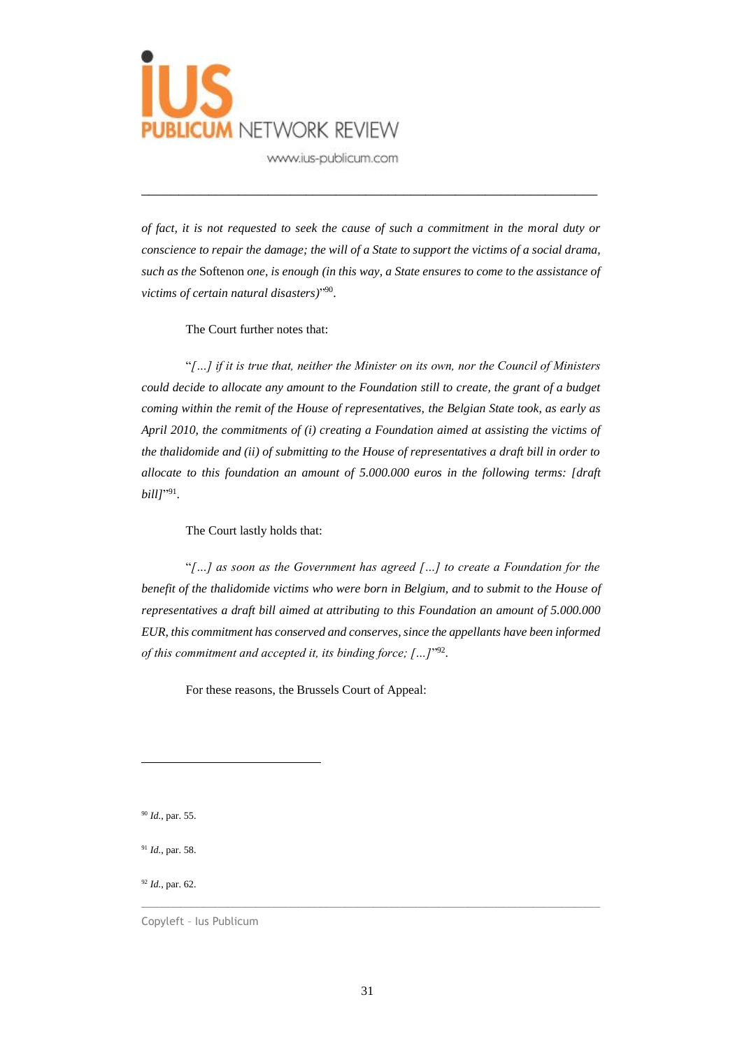

*of fact, it is not requested to seek the cause of such a commitment in the moral duty or conscience to repair the damage; the will of a State to support the victims of a social drama, such as the* Softenon *one, is enough (in this way, a State ensures to come to the assistance of victims of certain natural disasters)*" 90 .

\_\_\_\_\_\_\_\_\_\_\_\_\_\_\_\_\_\_\_\_\_\_\_\_\_\_\_\_\_\_\_\_\_\_\_\_\_\_\_\_\_\_\_\_\_\_\_\_\_\_\_\_\_\_\_\_\_\_\_\_\_

### The Court further notes that:

"*[…] if it is true that, neither the Minister on its own, nor the Council of Ministers could decide to allocate any amount to the Foundation still to create, the grant of a budget coming within the remit of the House of representatives, the Belgian State took, as early as April 2010, the commitments of (i) creating a Foundation aimed at assisting the victims of the thalidomide and (ii) of submitting to the House of representatives a draft bill in order to allocate to this foundation an amount of 5.000.000 euros in the following terms: [draft bill*]"<sup>91</sup>.

### The Court lastly holds that:

"*[…] as soon as the Government has agreed […] to create a Foundation for the benefit of the thalidomide victims who were born in Belgium, and to submit to the House of representatives a draft bill aimed at attributing to this Foundation an amount of 5.000.000 EUR, this commitment has conserved and conserves, since the appellants have been informed*  of this commitment and accepted it, its binding force; [...]<sup>1992</sup>.

For these reasons, the Brussels Court of Appeal:

<sup>90</sup> *Id.*, par. 55.

<sup>91</sup> *Id.*, par. 58.

<sup>92</sup> *Id.*, par. 62.

Copyleft – Ius Publicum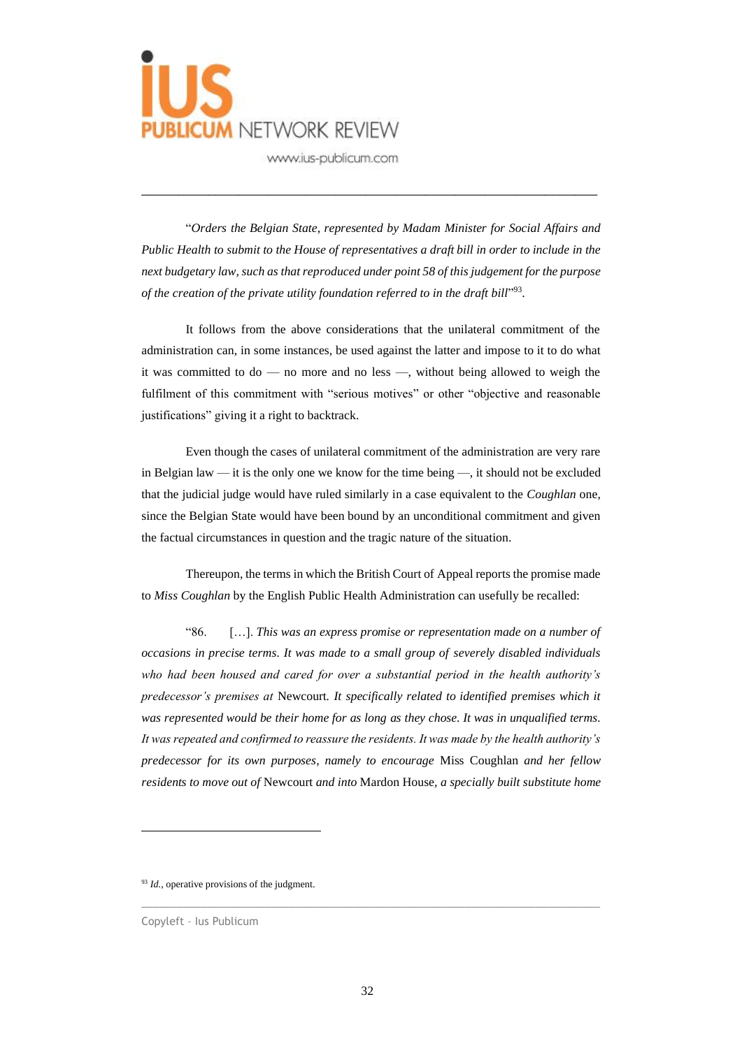

"*Orders the Belgian State, represented by Madam Minister for Social Affairs and Public Health to submit to the House of representatives a draft bill in order to include in the next budgetary law, such as that reproduced under point 58 of this judgement for the purpose*  of the creation of the private utility foundation referred to in the draft bill"<sup>93</sup>.

\_\_\_\_\_\_\_\_\_\_\_\_\_\_\_\_\_\_\_\_\_\_\_\_\_\_\_\_\_\_\_\_\_\_\_\_\_\_\_\_\_\_\_\_\_\_\_\_\_\_\_\_\_\_\_\_\_\_\_\_\_

It follows from the above considerations that the unilateral commitment of the administration can, in some instances, be used against the latter and impose to it to do what it was committed to do — no more and no less —, without being allowed to weigh the fulfilment of this commitment with "serious motives" or other "objective and reasonable justifications" giving it a right to backtrack.

Even though the cases of unilateral commitment of the administration are very rare in Belgian law — it is the only one we know for the time being —, it should not be excluded that the judicial judge would have ruled similarly in a case equivalent to the *Coughlan* one, since the Belgian State would have been bound by an unconditional commitment and given the factual circumstances in question and the tragic nature of the situation.

Thereupon, the terms in which the British Court of Appeal reports the promise made to *Miss Coughlan* by the English Public Health Administration can usefully be recalled:

"86. […]. *This was an express promise or representation made on a number of occasions in precise terms. It was made to a small group of severely disabled individuals who had been housed and cared for over a substantial period in the health authority's predecessor's premises at* Newcourt*. It specifically related to identified premises which it was represented would be their home for as long as they chose. It was in unqualified terms. It was repeated and confirmed to reassure the residents. It was made by the health authority's predecessor for its own purposes, namely to encourage* Miss Coughlan *and her fellow residents to move out of* Newcourt *and into* Mardon House*, a specially built substitute home* 

<sup>93</sup> *Id.*, operative provisions of the judgment.

Copyleft – Ius Publicum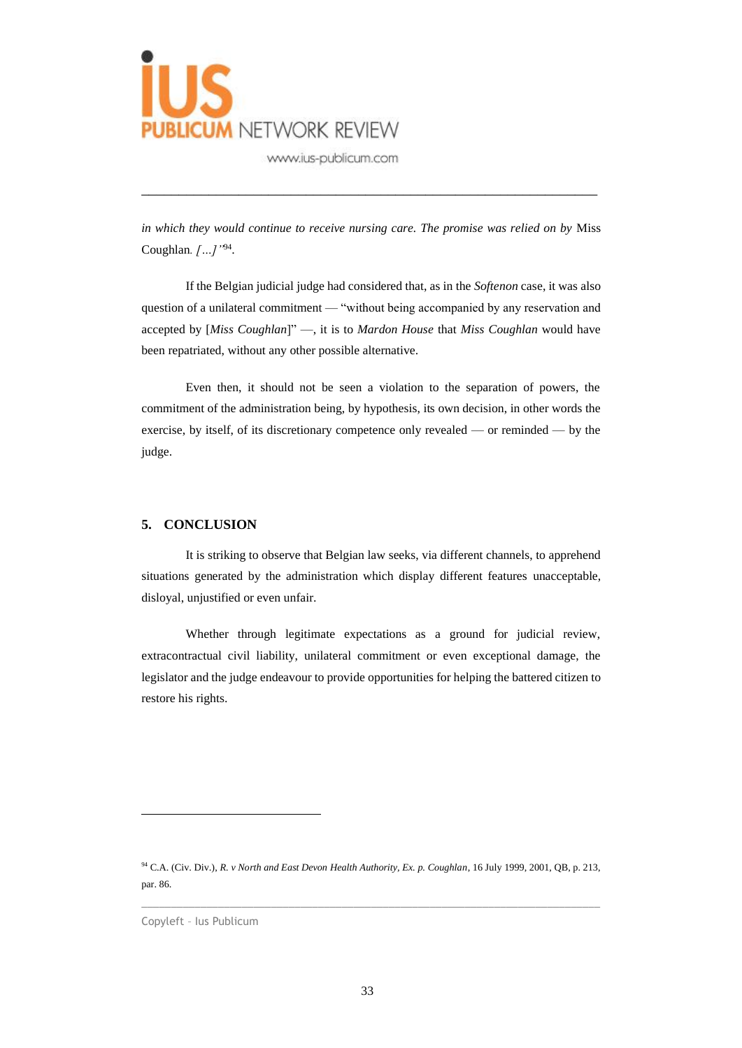

*in which they would continue to receive nursing care. The promise was relied on by* Miss Coughlan*. […]"*<sup>94</sup> .

\_\_\_\_\_\_\_\_\_\_\_\_\_\_\_\_\_\_\_\_\_\_\_\_\_\_\_\_\_\_\_\_\_\_\_\_\_\_\_\_\_\_\_\_\_\_\_\_\_\_\_\_\_\_\_\_\_\_\_\_\_

If the Belgian judicial judge had considered that, as in the *Softenon* case, it was also question of a unilateral commitment — "without being accompanied by any reservation and accepted by [*Miss Coughlan*]" —, it is to *Mardon House* that *Miss Coughlan* would have been repatriated, without any other possible alternative.

Even then, it should not be seen a violation to the separation of powers, the commitment of the administration being, by hypothesis, its own decision, in other words the exercise, by itself, of its discretionary competence only revealed — or reminded — by the judge.

### **5. CONCLUSION**

It is striking to observe that Belgian law seeks, via different channels, to apprehend situations generated by the administration which display different features unacceptable, disloyal, unjustified or even unfair.

Whether through legitimate expectations as a ground for judicial review, extracontractual civil liability, unilateral commitment or even exceptional damage, the legislator and the judge endeavour to provide opportunities for helping the battered citizen to restore his rights.

<sup>94</sup> C.A. (Civ. Div.), *R. v North and East Devon Health Authority, Ex. p. Coughlan*, 16 July 1999, 2001, QB, p. 213, par. 86.

Copyleft – Ius Publicum